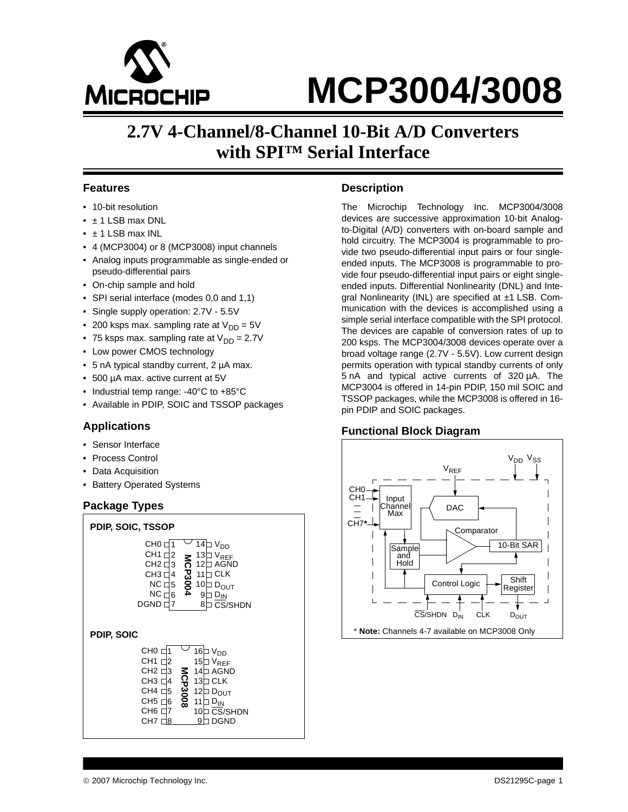

### **2.7V 4-Channel/8-Channel 10-Bit A/D Converters with SPI™ Serial Interface**

### **Features**

- 10-bit resolution
- $\cdot$   $\pm$  1 LSB max DNL
- $\cdot$   $\pm$  1 LSB max INL
- 4 (MCP3004) or 8 (MCP3008) input channels
- Analog inputs programmable as single-ended or pseudo-differential pairs
- On-chip sample and hold
- SPI serial interface (modes 0,0 and 1,1)
- Single supply operation: 2.7V 5.5V
- 200 ksps max. sampling rate at  $V_{DD} = 5V$
- 75 ksps max. sampling rate at  $V_{DD} = 2.7V$
- Low power CMOS technology
- 5 nA typical standby current, 2 µA max.
- 500 µA max. active current at 5V
- Industrial temp range: -40°C to +85°C
- Available in PDIP, SOIC and TSSOP packages

### **Applications**

- Sensor Interface
- Process Control
- Data Acquisition
- Battery Operated Systems

### **Package Types**



### **Description**

The Microchip Technology Inc. MCP3004/3008 devices are successive approximation 10-bit Analogto-Digital (A/D) converters with on-board sample and hold circuitry. The MCP3004 is programmable to provide two pseudo-differential input pairs or four singleended inputs. The MCP3008 is programmable to provide four pseudo-differential input pairs or eight singleended inputs. Differential Nonlinearity (DNL) and Integral Nonlinearity (INL) are specified at ±1 LSB. Communication with the devices is accomplished using a simple serial interface compatible with the SPI protocol. The devices are capable of conversion rates of up to 200 ksps. The MCP3004/3008 devices operate over a broad voltage range (2.7V - 5.5V). Low current design permits operation with typical standby currents of only 5 nA and typical active currents of 320 µA. The MCP3004 is offered in 14-pin PDIP, 150 mil SOIC and TSSOP packages, while the MCP3008 is offered in 16 pin PDIP and SOIC packages.

### **Functional Block Diagram**

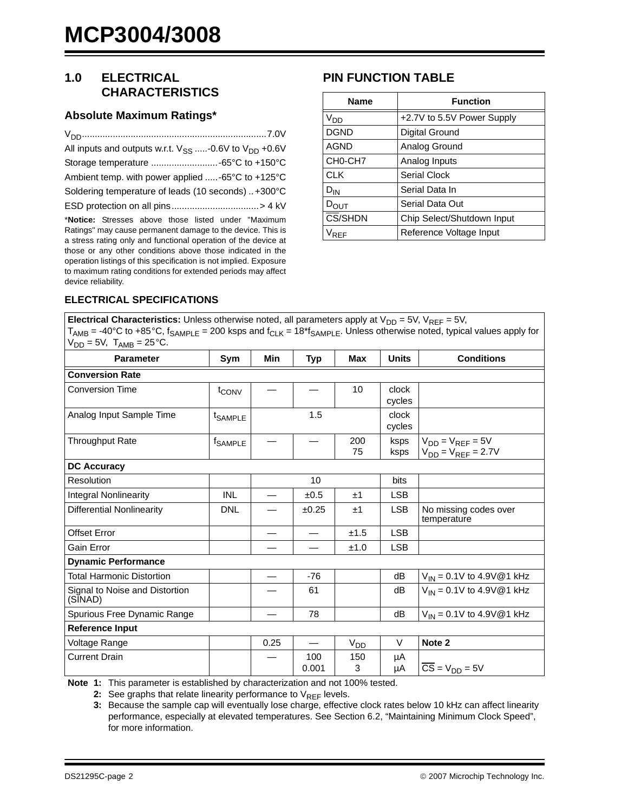### **1.0 ELECTRICAL CHARACTERISTICS**

### **Absolute Maximum Ratings\***

\***Notice:** Stresses above those listed under "Maximum Ratings" may cause permanent damage to the device. This is a stress rating only and functional operation of the device at those or any other conditions above those indicated in the operation listings of this specification is not implied. Exposure to maximum rating conditions for extended periods may affect device reliability.

### **PIN FUNCTION TABLE**

| <b>Name</b>      | <b>Function</b>            |  |  |  |  |
|------------------|----------------------------|--|--|--|--|
| $V_{DD}$         | +2.7V to 5.5V Power Supply |  |  |  |  |
| <b>DGND</b>      | Digital Ground             |  |  |  |  |
| <b>AGND</b>      | Analog Ground              |  |  |  |  |
| CH0-CH7          | Analog Inputs              |  |  |  |  |
| <b>CLK</b>       | <b>Serial Clock</b>        |  |  |  |  |
| $D_{IN}$         | Serial Data In             |  |  |  |  |
| $D_{\text{OUT}}$ | Serial Data Out            |  |  |  |  |
| CS/SHDN          | Chip Select/Shutdown Input |  |  |  |  |
| <b>RFF</b>       | Reference Voltage Input    |  |  |  |  |

### **ELECTRICAL SPECIFICATIONS**

**Electrical Characteristics:** Unless otherwise noted, all parameters apply at  $V_{DD} = 5V$ ,  $V_{REF} = 5V$ ,  $T_{AMB}$  = -40°C to +85°C,  $f_{SAMPLE}$  = 200 ksps and  $f_{CLK}$  = 18\* $f_{SAMPLE}$ . Unless otherwise noted, typical values apply for  $V_{DD} = 5V$ ,  $T_{AMB} = 25^{\circ}C$ .

| <b>Parameter</b>                          | Sym                 | Min  | <b>Typ</b>   | <b>Max</b> | <b>Units</b>    | <b>Conditions</b>                                    |  |  |  |
|-------------------------------------------|---------------------|------|--------------|------------|-----------------|------------------------------------------------------|--|--|--|
| <b>Conversion Rate</b>                    |                     |      |              |            |                 |                                                      |  |  |  |
| <b>Conversion Time</b>                    | t <sub>CONV</sub>   |      |              | 10         | clock<br>cycles |                                                      |  |  |  |
| Analog Input Sample Time                  | <sup>t</sup> SAMPLE |      | 1.5          |            | clock<br>cycles |                                                      |  |  |  |
| <b>Throughput Rate</b>                    | <sup>f</sup> SAMPLE |      |              | 200<br>75  | ksps<br>ksps    | $V_{DD} = V_{REF} = 5V$<br>$V_{DD} = V_{REF} = 2.7V$ |  |  |  |
| <b>DC Accuracy</b>                        |                     |      |              |            |                 |                                                      |  |  |  |
| Resolution                                |                     |      | 10           |            | bits            |                                                      |  |  |  |
| <b>Integral Nonlinearity</b>              | <b>INL</b>          |      | ±0.5         | ±1         | <b>LSB</b>      |                                                      |  |  |  |
| Differential Nonlinearity                 | <b>DNL</b>          |      | ±0.25        | ±1         | <b>LSB</b>      | No missing codes over<br>temperature                 |  |  |  |
| <b>Offset Error</b>                       |                     |      |              | ±1.5       | <b>LSB</b>      |                                                      |  |  |  |
| Gain Error                                |                     |      |              | ±1.0       | <b>LSB</b>      |                                                      |  |  |  |
| <b>Dynamic Performance</b>                |                     |      |              |            |                 |                                                      |  |  |  |
| <b>Total Harmonic Distortion</b>          |                     |      | $-76$        |            | dB              | $V_{1N} = 0.1V$ to 4.9V@1 kHz                        |  |  |  |
| Signal to Noise and Distortion<br>(SĬNAD) |                     |      | 61           |            | dB              | $V_{1N} = 0.1V$ to 4.9V@1 kHz                        |  |  |  |
| Spurious Free Dynamic Range               |                     |      | 78           |            | dB              | $V_{1N} = 0.1V$ to 4.9V@1 kHz                        |  |  |  |
| <b>Reference Input</b>                    |                     |      |              |            |                 |                                                      |  |  |  |
| Voltage Range                             |                     | 0.25 |              | $V_{DD}$   | V               | Note <sub>2</sub>                                    |  |  |  |
| <b>Current Drain</b>                      |                     |      | 100<br>0.001 | 150<br>3   | μA<br>μA        | $\overline{\text{CS}}$ = V <sub>DD</sub> = 5V        |  |  |  |

<span id="page-1-2"></span><span id="page-1-1"></span><span id="page-1-0"></span>**Note 1:** This parameter is established by characterization and not 100% tested.

**2:** See graphs that relate linearity performance to  $V_{REF}$  levels.

**3:** Because the sample cap will eventually lose charge, effective clock rates below 10 kHz can affect linearity performance, especially at elevated temperatures. See [Section 6.2,](#page-18-0) "Maintaining Minimum Clock Speed", for more information.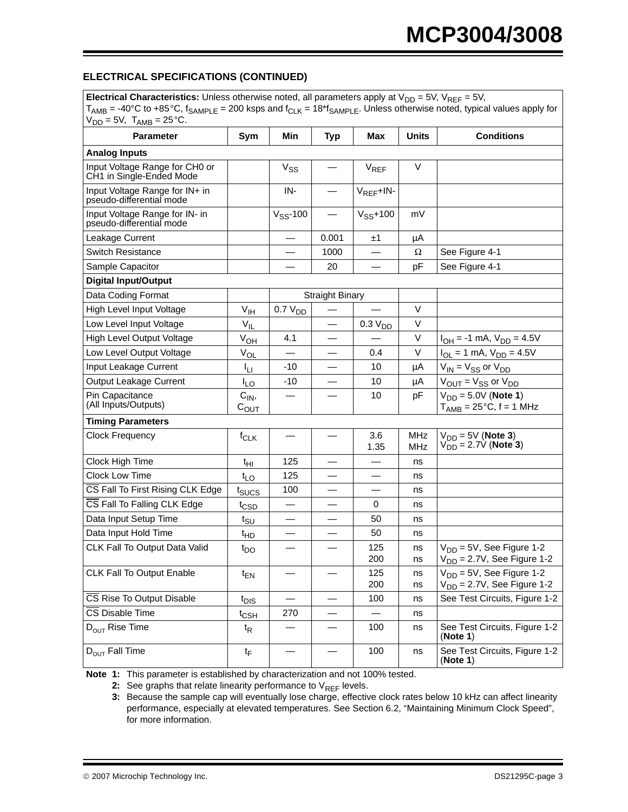### **ELECTRICAL SPECIFICATIONS (CONTINUED)**

| <b>Electrical Characteristics:</b> Unless otherwise noted, all parameters apply at $V_{DD} = 5V$ , $V_{REF} = 5V$ ,<br>$T_{\text{AMB}}$ = -40°C to +85°C, f <sub>SAMPLE</sub> = 200 ksps and f <sub>CLK</sub> = 18*f <sub>SAMPLE</sub> . Unless otherwise noted, typical values apply for<br>$V_{DD} = 5V$ , $T_{AMB} = 25$ °C. |                              |                          |                          |                          |                          |                                                                    |  |
|---------------------------------------------------------------------------------------------------------------------------------------------------------------------------------------------------------------------------------------------------------------------------------------------------------------------------------|------------------------------|--------------------------|--------------------------|--------------------------|--------------------------|--------------------------------------------------------------------|--|
| <b>Parameter</b>                                                                                                                                                                                                                                                                                                                | Sym                          | Min                      | <b>Typ</b>               | Max                      | <b>Units</b>             | <b>Conditions</b>                                                  |  |
| <b>Analog Inputs</b>                                                                                                                                                                                                                                                                                                            |                              |                          |                          |                          |                          |                                                                    |  |
| Input Voltage Range for CH0 or<br>CH1 in Single-Ended Mode                                                                                                                                                                                                                                                                      |                              | $V_{SS}$                 |                          | $V_{REF}$                | $\vee$                   |                                                                    |  |
| Input Voltage Range for IN+ in<br>pseudo-differential mode                                                                                                                                                                                                                                                                      |                              | IN-                      |                          | $V_{REF}$ +IN-           |                          |                                                                    |  |
| Input Voltage Range for IN- in<br>pseudo-differential mode                                                                                                                                                                                                                                                                      |                              | $V_{SS}$ -100            |                          | $VSS+100$                | mV                       |                                                                    |  |
| Leakage Current                                                                                                                                                                                                                                                                                                                 |                              | $\overline{\phantom{0}}$ | 0.001                    | ±1                       | μA                       |                                                                    |  |
| <b>Switch Resistance</b>                                                                                                                                                                                                                                                                                                        |                              |                          | 1000                     |                          | Ω                        | See Figure 4-1                                                     |  |
| Sample Capacitor                                                                                                                                                                                                                                                                                                                |                              |                          | 20                       |                          | pF                       | See Figure 4-1                                                     |  |
| <b>Digital Input/Output</b>                                                                                                                                                                                                                                                                                                     |                              |                          |                          |                          |                          |                                                                    |  |
| Data Coding Format                                                                                                                                                                                                                                                                                                              |                              |                          | <b>Straight Binary</b>   |                          |                          |                                                                    |  |
| High Level Input Voltage                                                                                                                                                                                                                                                                                                        | $\mathsf{V}_{\mathsf{IH}}$   | 0.7 V <sub>DD</sub>      |                          |                          | $\vee$                   |                                                                    |  |
| Low Level Input Voltage                                                                                                                                                                                                                                                                                                         | $\rm V_{\rm IL}$             |                          | $\overline{\phantom{0}}$ | 0.3 V <sub>DD</sub>      | V                        |                                                                    |  |
| High Level Output Voltage                                                                                                                                                                                                                                                                                                       | $V_{OH}$                     | 4.1                      |                          |                          | $\mathsf V$              | $I_{OH} = -1$ mA, $V_{DD} = 4.5V$                                  |  |
| Low Level Output Voltage                                                                                                                                                                                                                                                                                                        | $V_{OL}$                     |                          |                          | 0.4                      | $\vee$                   | $I_{OL} = 1$ mA, $V_{DD} = 4.5V$                                   |  |
| Input Leakage Current                                                                                                                                                                                                                                                                                                           | ŀц                           | $-10$                    |                          | 10                       | μA                       | $V_{IN}$ = $V_{SS}$ or $V_{DD}$                                    |  |
| Output Leakage Current                                                                                                                                                                                                                                                                                                          | $I_{LO}$                     | $-10$                    |                          | 10                       | μA                       | $V_{OUT} = V_{SS}$ or $V_{DD}$                                     |  |
| Pin Capacitance<br>(All Inputs/Outputs)                                                                                                                                                                                                                                                                                         | $C_{IN}$<br>$C_{\text{OUT}}$ | —                        |                          | 10                       | рF                       | $V_{DD} = 5.0V$ (Note 1)<br>$T_{AMB} = 25$ °C, f = 1 MHz           |  |
| <b>Timing Parameters</b>                                                                                                                                                                                                                                                                                                        |                              |                          |                          |                          |                          |                                                                    |  |
| <b>Clock Frequency</b>                                                                                                                                                                                                                                                                                                          | $f_{CLK}$                    |                          |                          | 3.6<br>1.35              | <b>MHz</b><br><b>MHz</b> | $V_{DD} = 5V$ (Note 3)<br>$V_{DD} = 2.7\dot{V}$ (Note 3)           |  |
| Clock High Time                                                                                                                                                                                                                                                                                                                 | $t_{\text{HI}}$              | 125                      |                          |                          | ns                       |                                                                    |  |
| Clock Low Time                                                                                                                                                                                                                                                                                                                  | $t_{LO}$                     | 125                      |                          |                          | ns                       |                                                                    |  |
| CS Fall To First Rising CLK Edge                                                                                                                                                                                                                                                                                                | t <sub>SUCS</sub>            | 100                      |                          |                          | ns                       |                                                                    |  |
| CS Fall To Falling CLK Edge                                                                                                                                                                                                                                                                                                     | t <sub>CSD</sub>             |                          |                          | 0                        | ns                       |                                                                    |  |
| Data Input Setup Time                                                                                                                                                                                                                                                                                                           | $t_{\text{SU}}$              |                          |                          | 50                       | ns                       |                                                                    |  |
| Data Input Hold Time                                                                                                                                                                                                                                                                                                            | $t_{HD}$                     | $\overline{\phantom{0}}$ | $\overline{\phantom{0}}$ | 50                       | ns                       |                                                                    |  |
| CLK Fall To Output Data Valid                                                                                                                                                                                                                                                                                                   | $t_{\text{DO}}$              |                          |                          | 125<br>200               | ns<br>ns                 | $V_{DD} = 5V$ , See Figure 1-2<br>$V_{DD} = 2.7V$ , See Figure 1-2 |  |
| CLK Fall To Output Enable                                                                                                                                                                                                                                                                                                       | $t_{EN}$                     |                          |                          | 125<br>200               | ns<br>ns                 | $V_{DD} = 5V$ , See Figure 1-2<br>$V_{DD} = 2.7V$ , See Figure 1-2 |  |
| CS Rise To Output Disable                                                                                                                                                                                                                                                                                                       | $t_{DIS}$                    |                          |                          | 100                      | ns                       | See Test Circuits, Figure 1-2                                      |  |
| CS Disable Time                                                                                                                                                                                                                                                                                                                 | $t_{\text{CSH}}$             | 270                      | $\overline{\phantom{0}}$ | $\overline{\phantom{m}}$ | ns                       |                                                                    |  |
| $D_{OUT}$ Rise Time                                                                                                                                                                                                                                                                                                             | $t_{\mathsf{R}}$             |                          |                          | 100                      | ns                       | See Test Circuits, Figure 1-2<br>(Note 1)                          |  |
| $D_{OUT}$ Fall Time                                                                                                                                                                                                                                                                                                             | tF                           |                          |                          | 100                      | ns                       | See Test Circuits, Figure 1-2<br>(Note 1)                          |  |

**Note 1:** This parameter is established by characterization and not 100% tested.

**2:** See graphs that relate linearity performance to  $V_{REF}$  levels.

**3:** Because the sample cap will eventually lose charge, effective clock rates below 10 kHz can affect linearity performance, especially at elevated temperatures. See Section 6.2, "Maintaining Minimum Clock Speed", for more information.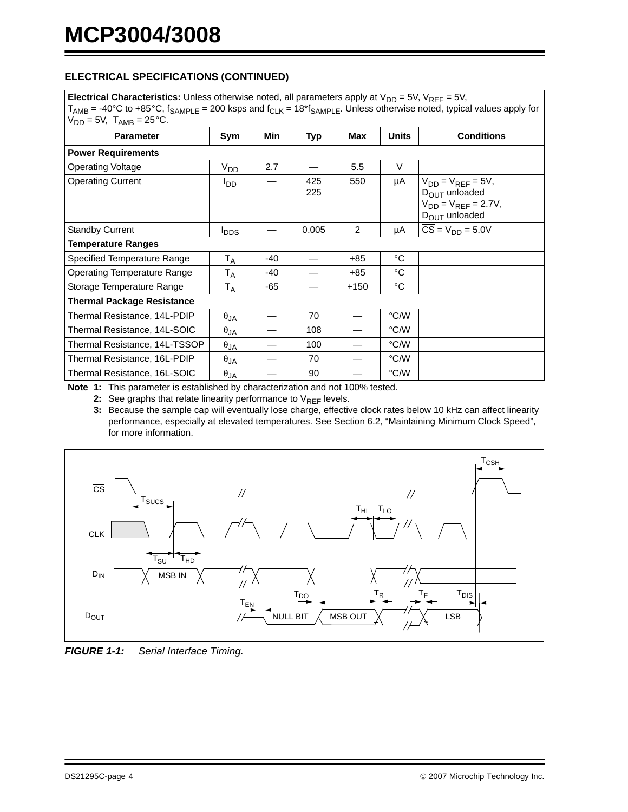### **ELECTRICAL SPECIFICATIONS (CONTINUED)**

**Electrical Characteristics:** Unless otherwise noted, all parameters apply at  $V_{DD} = 5V$ ,  $V_{REF} = 5V$ ,  $T_{\rm AMB}$  = -40°C to +85°C, f<sub>SAMPLE</sub> = 200 ksps and f<sub>CLK</sub> = 18\*f<sub>SAMPLE</sub>. Unless otherwise noted, typical values apply for  $V_{DD} = 5V$ ,  $T_{AMB} = 25$  °C.

| <b>Parameter</b>                   | Sym             | <b>Min</b> | <b>Typ</b> | Max    | <b>Units</b> | <b>Conditions</b>                                                                                           |  |  |  |
|------------------------------------|-----------------|------------|------------|--------|--------------|-------------------------------------------------------------------------------------------------------------|--|--|--|
| <b>Power Requirements</b>          |                 |            |            |        |              |                                                                                                             |  |  |  |
| <b>Operating Voltage</b>           | V <sub>DD</sub> | 2.7        |            | 5.5    | V            |                                                                                                             |  |  |  |
| <b>Operating Current</b>           | l <sub>DD</sub> |            | 425<br>225 | 550    | μA           | $V_{DD} = V_{REF} = 5V$ ,<br>$D_{\text{OUT}}$ unloaded<br>$V_{DD} = V_{RFF} = 2.7V$ ,<br>$D_{OUT}$ unloaded |  |  |  |
| <b>Standby Current</b>             | <b>PDDS</b>     |            | 0.005      | 2      | μA           | $\overline{\text{CS}}$ = $V_{DD}$ = 5.0V                                                                    |  |  |  |
| <b>Temperature Ranges</b>          |                 |            |            |        |              |                                                                                                             |  |  |  |
| Specified Temperature Range        | $T_A$           | $-40$      |            | $+85$  | °C           |                                                                                                             |  |  |  |
| <b>Operating Temperature Range</b> | $T_A$           | $-40$      |            | +85    | °C           |                                                                                                             |  |  |  |
| Storage Temperature Range          | $T_A$           | $-65$      |            | $+150$ | °C           |                                                                                                             |  |  |  |
| <b>Thermal Package Resistance</b>  |                 |            |            |        |              |                                                                                                             |  |  |  |
| Thermal Resistance, 14L-PDIP       | $\theta_{JA}$   |            | 70         |        | °C/W         |                                                                                                             |  |  |  |
| Thermal Resistance, 14L-SOIC       | $\theta_{JA}$   |            | 108        |        | °C/W         |                                                                                                             |  |  |  |
| Thermal Resistance, 14L-TSSOP      | $\theta_{JA}$   |            | 100        |        | °C/W         |                                                                                                             |  |  |  |
| Thermal Resistance, 16L-PDIP       | $\theta_{JA}$   |            | 70         |        | ℃⁄W          |                                                                                                             |  |  |  |
| Thermal Resistance, 16L-SOIC       | $\theta_{JA}$   |            | 90         |        | °C/W         |                                                                                                             |  |  |  |

**Note 1:** This parameter is established by characterization and not 100% tested.

**2:** See graphs that relate linearity performance to V<sub>REF</sub> levels.

**3:** Because the sample cap will eventually lose charge, effective clock rates below 10 kHz can affect linearity performance, especially at elevated temperatures. See Section 6.2, "Maintaining Minimum Clock Speed", for more information.



*FIGURE 1-1: Serial Interface Timing.*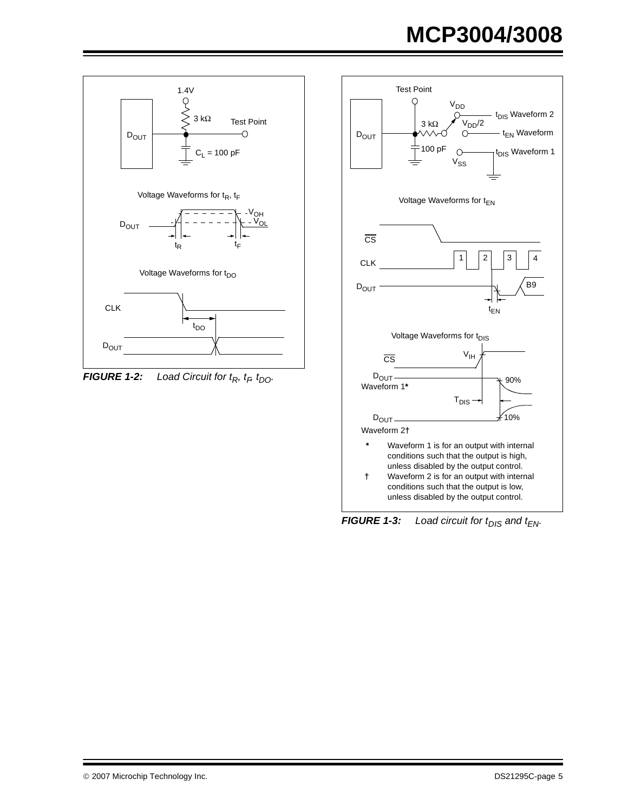

<span id="page-4-0"></span>**FIGURE 1-2:** Load Circuit for  $t_R$ ,  $t_F$ ,  $t_{DO}$ .



**FIGURE 1-3:** Load circuit for  $t_{DIS}$  and  $t_{EN}$ .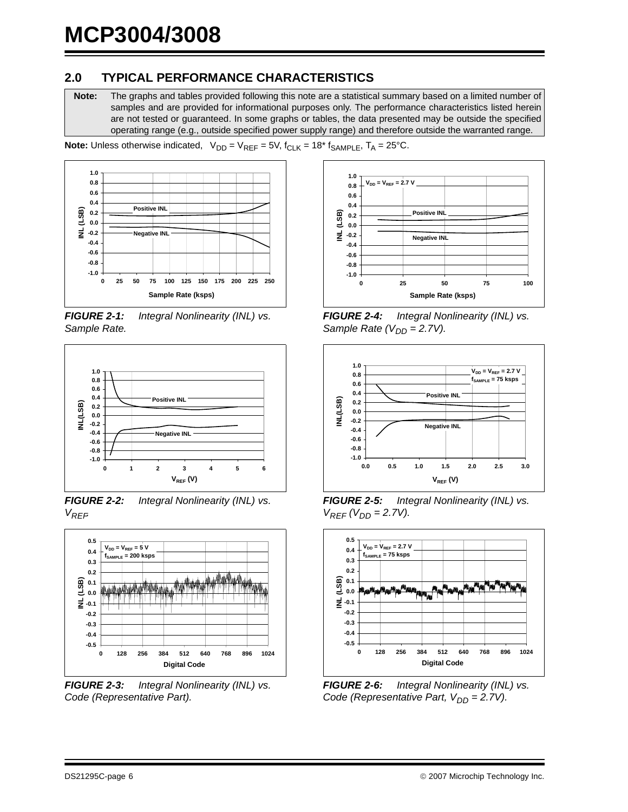### **2.0 TYPICAL PERFORMANCE CHARACTERISTICS**

**Note:** The graphs and tables provided following this note are a statistical summary based on a limited number of samples and are provided for informational purposes only. The performance characteristics listed herein are not tested or guaranteed. In some graphs or tables, the data presented may be outside the specified operating range (e.g., outside specified power supply range) and therefore outside the warranted range.



*FIGURE 2-1: Integral Nonlinearity (INL) vs. Sample Rate.*



*FIGURE 2-2: Integral Nonlinearity (INL) vs. VREF.*



*FIGURE 2-3: Integral Nonlinearity (INL) vs. Code (Representative Part).*



*FIGURE 2-4: Integral Nonlinearity (INL) vs. Sample Rate (* $V_{DD} = 2.7V$ *).* 



*FIGURE 2-5: Integral Nonlinearity (INL) vs.*   $V_{REF}$  ( $V_{DD}$  = 2.7V).



*FIGURE 2-6: Integral Nonlinearity (INL) vs. Code (Representative Part, V<sub>DD</sub> = 2.7V).*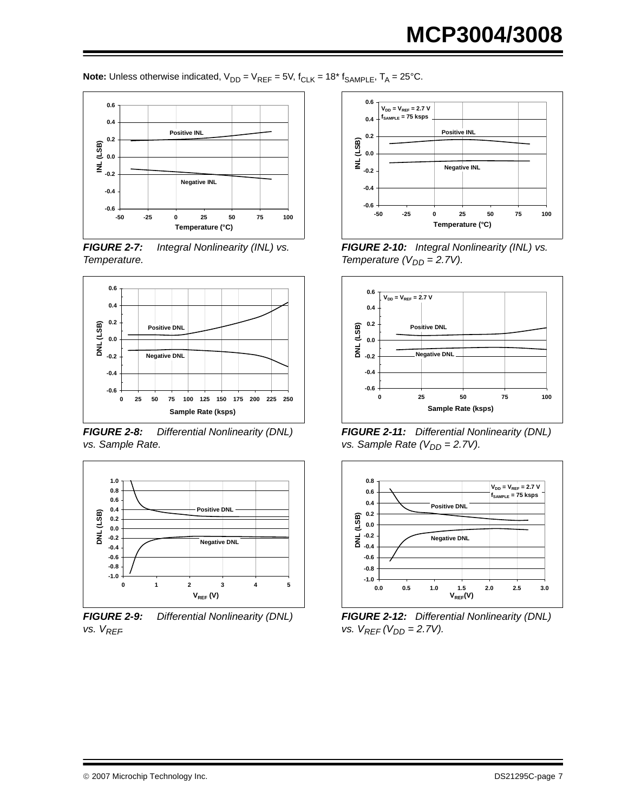

*FIGURE 2-7: Integral Nonlinearity (INL) vs. Temperature.*



*FIGURE 2-8: Differential Nonlinearity (DNL) vs. Sample Rate.*



*FIGURE 2-9: Differential Nonlinearity (DNL) vs.*  $V_{REF}$ 



*FIGURE 2-10: Integral Nonlinearity (INL) vs. Temperature (* $V_{DD} = 2.7V$ *).* 



*FIGURE 2-11: Differential Nonlinearity (DNL) vs. Sample Rate (* $V_{DD} = 2.7V$ *).* 



*FIGURE 2-12: Differential Nonlinearity (DNL) vs.*  $V_{REF}$  ( $V_{DD}$  = 2.7V).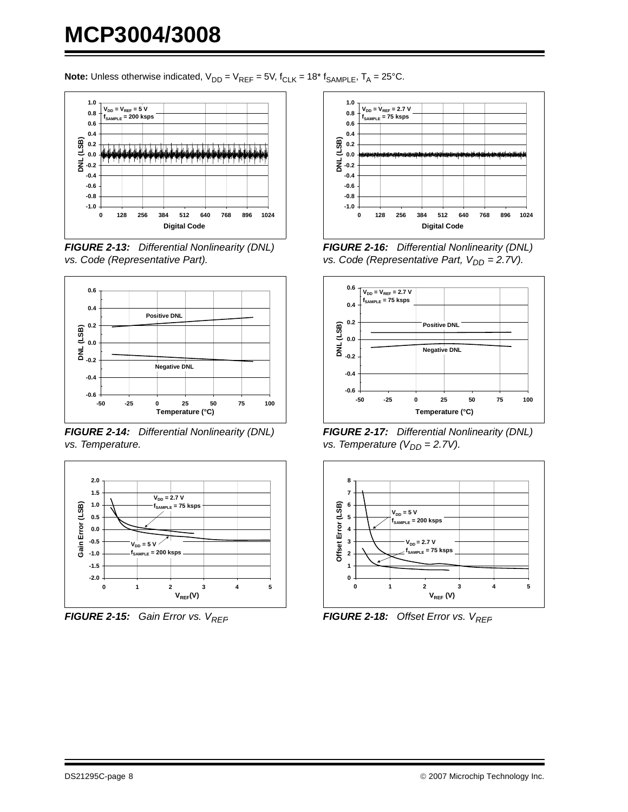

*FIGURE 2-13: Differential Nonlinearity (DNL) vs. Code (Representative Part).*



*FIGURE 2-14: Differential Nonlinearity (DNL) vs. Temperature.*



*FIGURE 2-15: Gain Error vs. V<sub>RFF</sub>* 



*FIGURE 2-16: Differential Nonlinearity (DNL) vs. Code (Representative Part, V<sub>DD</sub> = 2.7V).* 



*FIGURE 2-17: Differential Nonlinearity (DNL) vs. Temperature (* $V_{DD} = 2.7V$ *).* 



*FIGURE 2-18: Offset Error vs. V<sub>RFF</sub>*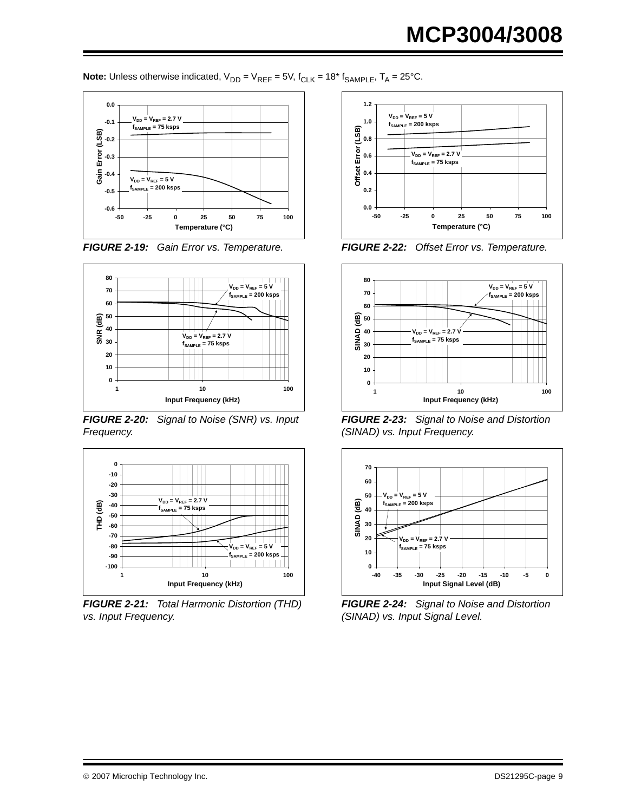

*FIGURE 2-19: Gain Error vs. Temperature.*



*FIGURE 2-20: Signal to Noise (SNR) vs. Input Frequency.*



*FIGURE 2-21: Total Harmonic Distortion (THD) vs. Input Frequency.*



*FIGURE 2-22: Offset Error vs. Temperature.*



*FIGURE 2-23: Signal to Noise and Distortion (SINAD) vs. Input Frequency.*



*FIGURE 2-24: Signal to Noise and Distortion (SINAD) vs. Input Signal Level.*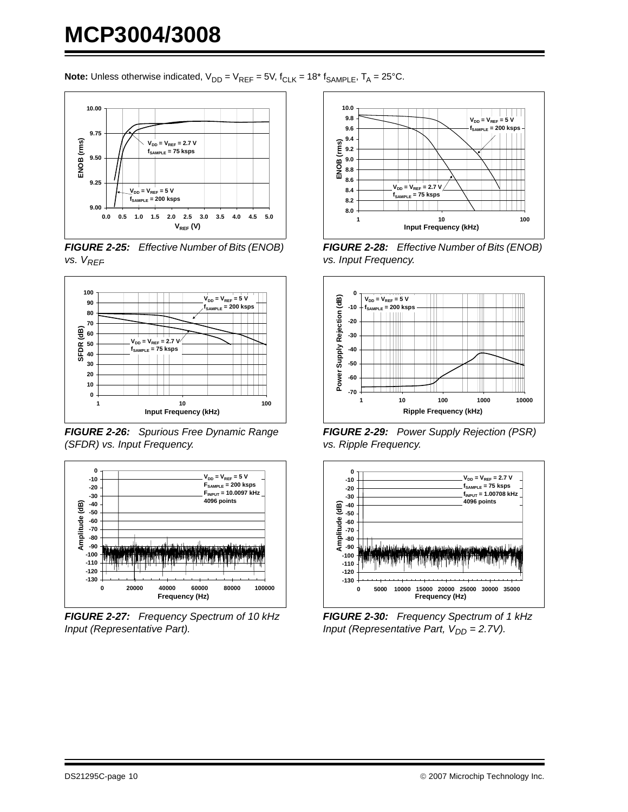

*FIGURE 2-25: Effective Number of Bits (ENOB) vs. VREF.*



*FIGURE 2-26: Spurious Free Dynamic Range (SFDR) vs. Input Frequency.*



*FIGURE 2-27: Frequency Spectrum of 10 kHz Input (Representative Part).*



*FIGURE 2-28: Effective Number of Bits (ENOB) vs. Input Frequency.*



*FIGURE 2-29: Power Supply Rejection (PSR) vs. Ripple Frequency.*



*FIGURE 2-30: Frequency Spectrum of 1 kHz Input (Representative Part,*  $V_{DD} = 2.7V$ *).*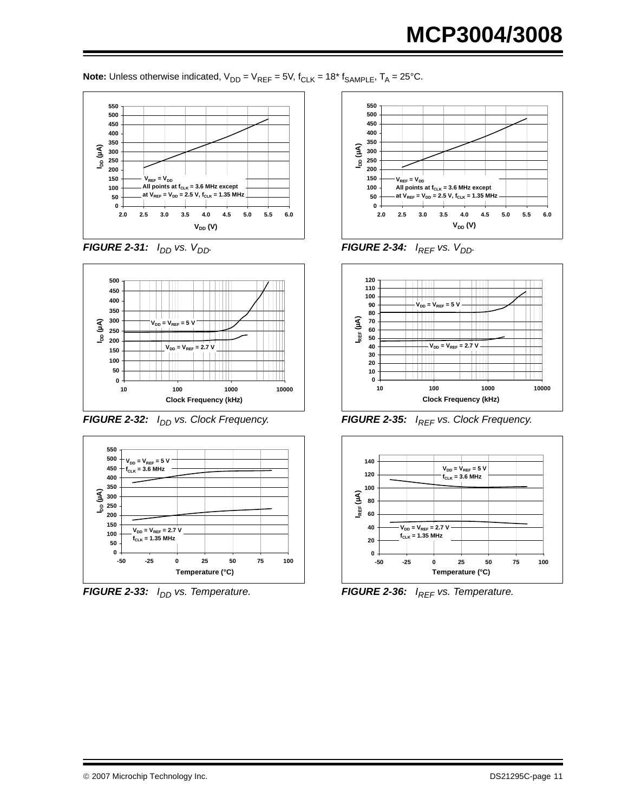





*FIGURE 2-32: I<sub>DD</sub> vs. Clock Frequency.* 



*FIGURE 2-33: I<sub>DD</sub>* vs. Temperature.



*FIGURE 2-34:*  $I_{REF}$  vs.  $V_{DD}$ .



*FIGURE 2-35: IREF vs. Clock Frequency.*



*FIGURE 2-36: IREF vs. Temperature.*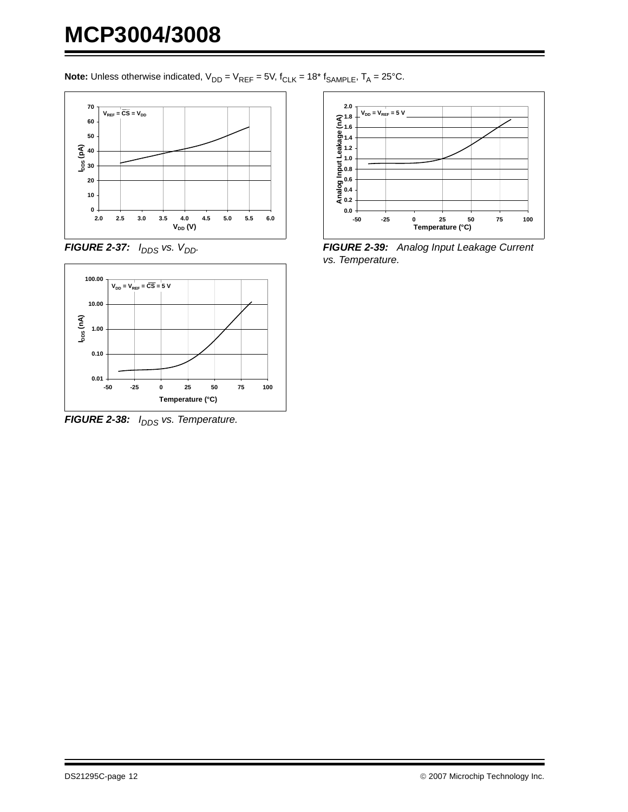





*FIGURE 2-38: I<sub>DDS</sub> vs. Temperature.* 



*FIGURE 2-39: Analog Input Leakage Current vs. Temperature.*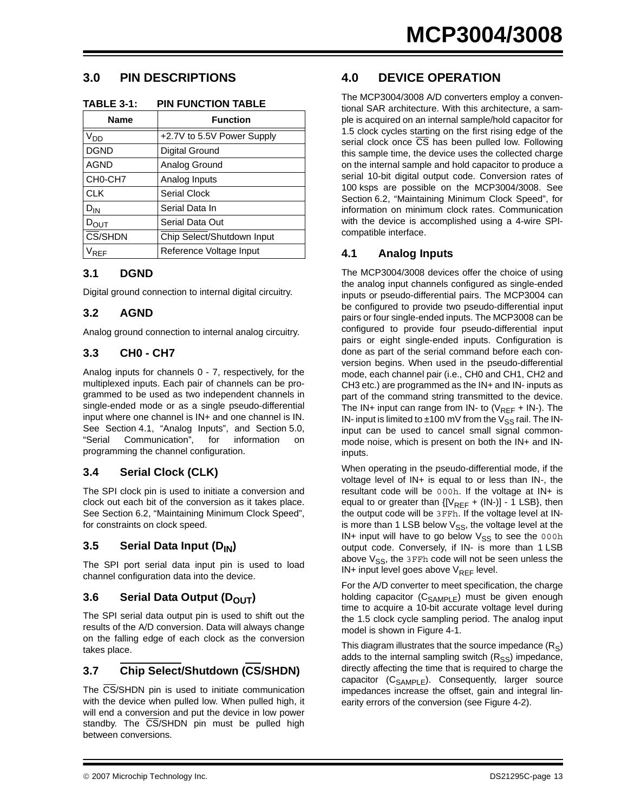### **3.0 PIN DESCRIPTIONS**

|  | <b>TABLE 3-1:</b> | <b>PIN FUNCTION TABLE</b> |
|--|-------------------|---------------------------|
|--|-------------------|---------------------------|

| <b>Name</b>      | <b>Function</b>            |  |  |  |  |
|------------------|----------------------------|--|--|--|--|
| $V_{DD}$         | +2.7V to 5.5V Power Supply |  |  |  |  |
| <b>DGND</b>      | Digital Ground             |  |  |  |  |
| <b>AGND</b>      | Analog Ground              |  |  |  |  |
| CH0-CH7          | Analog Inputs              |  |  |  |  |
| <b>CLK</b>       | <b>Serial Clock</b>        |  |  |  |  |
| $D_{IN}$         | Serial Data In             |  |  |  |  |
| $D_{\text{OUT}}$ | Serial Data Out            |  |  |  |  |
| CS/SHDN          | Chip Select/Shutdown Input |  |  |  |  |
| $V_{REF}$        | Reference Voltage Input    |  |  |  |  |

### **3.1 DGND**

Digital ground connection to internal digital circuitry.

### **3.2 AGND**

Analog ground connection to internal analog circuitry.

### **3.3 CH0 - CH7**

Analog inputs for channels 0 - 7, respectively, for the multiplexed inputs. Each pair of channels can be programmed to be used as two independent channels in single-ended mode or as a single pseudo-differential input where one channel is IN+ and one channel is IN. See [Section 4.1,](#page-12-0) "Analog Inputs", and [Section 5.0,](#page-14-0) "Serial Communication", for information on programming the channel configuration.

### **3.4 Serial Clock (CLK)**

The SPI clock pin is used to initiate a conversion and clock out each bit of the conversion as it takes place. See [Section 6.2,](#page-18-0) "Maintaining Minimum Clock Speed", for constraints on clock speed.

### **3.5 Serial Data Input (D<sub>IN</sub>)**

The SPI port serial data input pin is used to load channel configuration data into the device.

### **3.6 Serial Data Output (D<sub>OUT</sub>)**

The SPI serial data output pin is used to shift out the results of the A/D conversion. Data will always change on the falling edge of each clock as the conversion takes place.

### **3.7 Chip Select/Shutdown (CS/SHDN)**

The CS/SHDN pin is used to initiate communication with the device when pulled low. When pulled high, it will end a conversion and put the device in low power standby. The  $\overline{\text{CS}}$ /SHDN pin must be pulled high between conversions.

### **4.0 DEVICE OPERATION**

The MCP3004/3008 A/D converters employ a conventional SAR architecture. With this architecture, a sample is acquired on an internal sample/hold capacitor for 1.5 clock cycles starting on the first rising edge of the serial clock once  $\overline{CS}$  has been pulled low. Following this sample time, the device uses the collected charge on the internal sample and hold capacitor to produce a serial 10-bit digital output code. Conversion rates of 100 ksps are possible on the MCP3004/3008. See [Section 6.2](#page-18-0), "Maintaining Minimum Clock Speed", for information on minimum clock rates. Communication with the device is accomplished using a 4-wire SPIcompatible interface.

### <span id="page-12-0"></span>**4.1 Analog Inputs**

The MCP3004/3008 devices offer the choice of using the analog input channels configured as single-ended inputs or pseudo-differential pairs. The MCP3004 can be configured to provide two pseudo-differential input pairs or four single-ended inputs. The MCP3008 can be configured to provide four pseudo-differential input pairs or eight single-ended inputs. Configuration is done as part of the serial command before each conversion begins. When used in the pseudo-differential mode, each channel pair (i.e., CH0 and CH1, CH2 and CH3 etc.) are programmed as the IN+ and IN- inputs as part of the command string transmitted to the device. The IN+ input can range from IN- to  $(V_{REF} + IN-)$ . The IN- input is limited to  $\pm 100$  mV from the  $V_{SS}$  rail. The INinput can be used to cancel small signal commonmode noise, which is present on both the IN+ and INinputs.

When operating in the pseudo-differential mode, if the voltage level of IN+ is equal to or less than IN-, the resultant code will be 000h. If the voltage at IN+ is equal to or greater than  ${[V_{REF} + (IN-)]}$  - 1 LSB}, then the output code will be 3FFh. If the voltage level at INis more than 1 LSB below  $V_{SS}$ , the voltage level at the IN+ input will have to go below  $V_{SS}$  to see the 000h output code. Conversely, if IN- is more than 1 LSB above  $V_{SS}$ , the 3FFh code will not be seen unless the IN+ input level goes above  $V_{REF}$  level.

For the A/D converter to meet specification, the charge holding capacitor  $(C_{SAMPLE})$  must be given enough time to acquire a 10-bit accurate voltage level during the 1.5 clock cycle sampling period. The analog input model is shown in [Figure 4-1.](#page-13-0)

This diagram illustrates that the source impedance  $(R<sub>S</sub>)$ adds to the internal sampling switch  $(R_{SS})$  impedance, directly affecting the time that is required to charge the capacitor  $(C_{SAMPLE})$ . Consequently, larger source impedances increase the offset, gain and integral linearity errors of the conversion (see [Figure 4-2](#page-13-1)).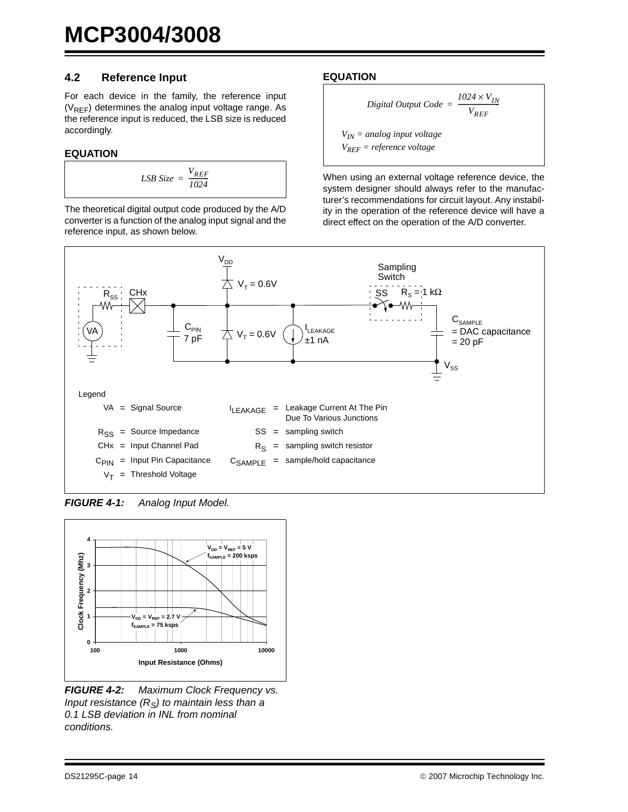### **4.2 Reference Input**

For each device in the family, the reference input  $(V_{RFF})$  determines the analog input voltage range. As the reference input is reduced, the LSB size is reduced accordingly.

### **EQUATION**

$$
LSB \, Size = \frac{V_{REF}}{1024}
$$

The theoretical digital output code produced by the A/D converter is a function of the analog input signal and the reference input, as shown below.

### **EQUATION**

$$
Digital Output Code = \frac{1024 \times V_{IN}}{V_{REF}}
$$
  

$$
V_{IN} = analog input voltage
$$

*VREF = reference voltage*

When using an external voltage reference device, the system designer should always refer to the manufacturer's recommendations for circuit layout. Any instability in the operation of the reference device will have a direct effect on the operation of the A/D converter.



<span id="page-13-0"></span>*FIGURE 4-1: Analog Input Model.*



<span id="page-13-1"></span>*FIGURE 4-2: Maximum Clock Frequency vs. Input resistance*  $(R<sub>S</sub>)$  to maintain less than a *0.1 LSB deviation in INL from nominal conditions.*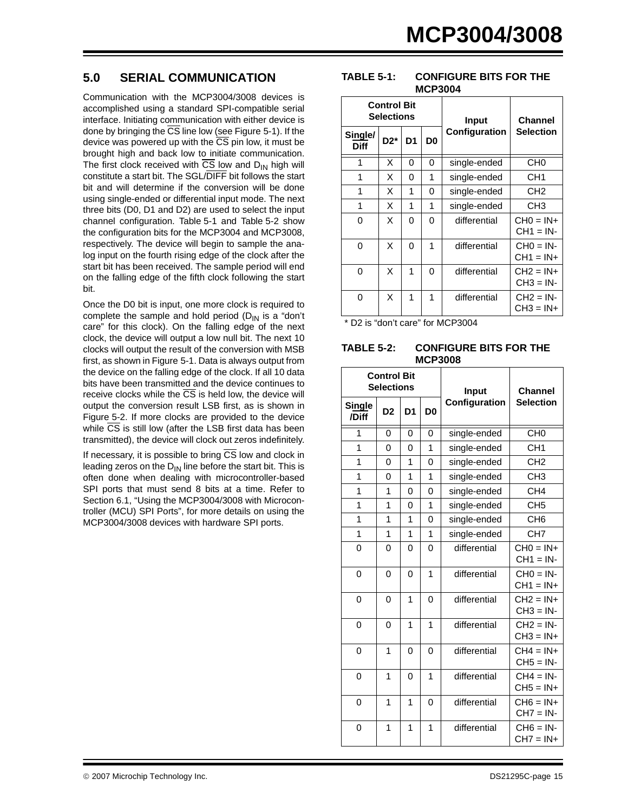### <span id="page-14-0"></span>**5.0 SERIAL COMMUNICATION**

Communication with the MCP3004/3008 devices is accomplished using a standard SPI-compatible serial interface. Initiating communication with either device is done by bringing the  $\overline{\text{CS}}$  line low (see [Figure 5-1\)](#page-15-0). If the device was powered up with the  $\overline{CS}$  pin low, it must be brought high and back low to initiate communication. The first clock received with  $\overline{CS}$  low and  $D_{IN}$  high will constitute a start bit. The SGL/DIFF bit follows the start bit and will determine if the conversion will be done using single-ended or differential input mode. The next three bits (D0, D1 and D2) are used to select the input channel configuration. [Table 5-1](#page-14-1) and [Table 5-2](#page-14-2) show the configuration bits for the MCP3004 and MCP3008, respectively. The device will begin to sample the analog input on the fourth rising edge of the clock after the start bit has been received. The sample period will end on the falling edge of the fifth clock following the start bit.

Once the D0 bit is input, one more clock is required to complete the sample and hold period  $(D_{IN})$  is a "don't care" for this clock). On the falling edge of the next clock, the device will output a low null bit. The next 10 clocks will output the result of the conversion with MSB first, as shown in [Figure 5-1](#page-15-0). Data is always output from the device on the falling edge of the clock. If all 10 data bits have been transmitted and the device continues to receive clocks while the  $\overline{\text{CS}}$  is held low, the device will output the conversion result LSB first, as is shown in [Figure 5-2.](#page-15-1) If more clocks are provided to the device while  $\overline{CS}$  is still low (after the LSB first data has been transmitted), the device will clock out zeros indefinitely.

If necessary, it is possible to bring  $\overline{CS}$  low and clock in leading zeros on the  $D_{IN}$  line before the start bit. This is often done when dealing with microcontroller-based SPI ports that must send 8 bits at a time. Refer to [Section 6.1,](#page-16-0) "Using the MCP3004/3008 with Microcontroller (MCU) SPI Ports", for more details on using the MCP3004/3008 devices with hardware SPI ports.

#### <span id="page-14-1"></span>**TABLE 5-1: CONFIGURE BITS FOR THE MCP3004**

|                        | <b>Control Bit</b><br><b>Selections</b> |                |                | Input         | <b>Channel</b>             |  |
|------------------------|-----------------------------------------|----------------|----------------|---------------|----------------------------|--|
| Single/<br><b>Diff</b> | $D2^*$                                  | D <sub>1</sub> | D <sub>0</sub> | Configuration | <b>Selection</b>           |  |
| 1                      | X                                       | 0              | 0              | single-ended  | CH <sub>0</sub>            |  |
| 1                      | X                                       | 0              | 1              | single-ended  | CH <sub>1</sub>            |  |
| 1                      | X                                       | 1              | 0              | single-ended  | CH <sub>2</sub>            |  |
| 1                      | X                                       | 1              | 1              | single-ended  | CH <sub>3</sub>            |  |
| 0                      | X                                       | 0              | 0              | differential  | $CH0 = IN+$<br>$CH1 = IN-$ |  |
| 0                      | X                                       | $\Omega$       | 1              | differential  | $CHO = IN-$<br>$CH1 = IN+$ |  |
| 0                      | X                                       | 1              | 0              | differential  | $CH2 = IN+$<br>$CH3 = IN-$ |  |
| 0                      | X                                       | 1              | 1              | differential  | $CH2 = IN-$<br>$CH3 = IN+$ |  |

\* D2 is "don't care" for MCP3004

### <span id="page-14-2"></span>**TABLE 5-2: CONFIGURE BITS FOR THE MCP3008**

|                 | <b>Control Bit</b><br><b>Selections</b> |                | Input          |               | Channel                    |
|-----------------|-----------------------------------------|----------------|----------------|---------------|----------------------------|
| Single<br>/Diff | D <sub>2</sub>                          | D <sub>1</sub> | D <sub>0</sub> | Configuration | <b>Selection</b>           |
| 1               | $\Omega$                                | $\Omega$       | $\mathbf{0}$   | single-ended  | CH <sub>0</sub>            |
| 1               | 0                                       | 0              | 1              | single-ended  | CH <sub>1</sub>            |
| 1               | 0                                       | 1              | $\overline{0}$ | single-ended  | CH <sub>2</sub>            |
| 1               | 0                                       | 1              | 1              | single-ended  | CH <sub>3</sub>            |
| 1               | 1                                       | 0              | 0              | single-ended  | CH <sub>4</sub>            |
| 1               | 1                                       | 0              | 1              | single-ended  | CH <sub>5</sub>            |
| 1               | 1                                       | 1              | 0              | single-ended  | CH <sub>6</sub>            |
| 1               | 1                                       | 1              | 1              | single-ended  | CH <sub>7</sub>            |
| 0               | 0                                       | $\Omega$       | $\mathbf{0}$   | differential  | $CH0 = IN+$<br>$CH1 = IN-$ |
| $\Omega$        | $\Omega$                                | $\Omega$       | 1              | differential  | $CHO = IN-$<br>$CH1 = IN+$ |
| $\Omega$        | $\Omega$                                | 1              | $\Omega$       | differential  | $CH2 = IN+$<br>$CH3 = IN-$ |
| $\Omega$        | $\overline{0}$                          | 1              | 1              | differential  | $CH2 = IN-$<br>$CH3 = IN+$ |
| $\Omega$        | 1                                       | $\Omega$       | $\Omega$       | differential  | $CH4 = IN+$<br>$CH5 = IN-$ |
| $\Omega$        | 1                                       | $\Omega$       | 1              | differential  | $CH4 = IN-$<br>$CH5 = IN+$ |
| 0               | 1                                       | 1              | $\Omega$       | differential  | $CH6 = IN+$<br>$CH7 = IN-$ |
| 0               | 1                                       | 1              | 1              | differential  | $CH6 = IN-$<br>$CH7 = IN+$ |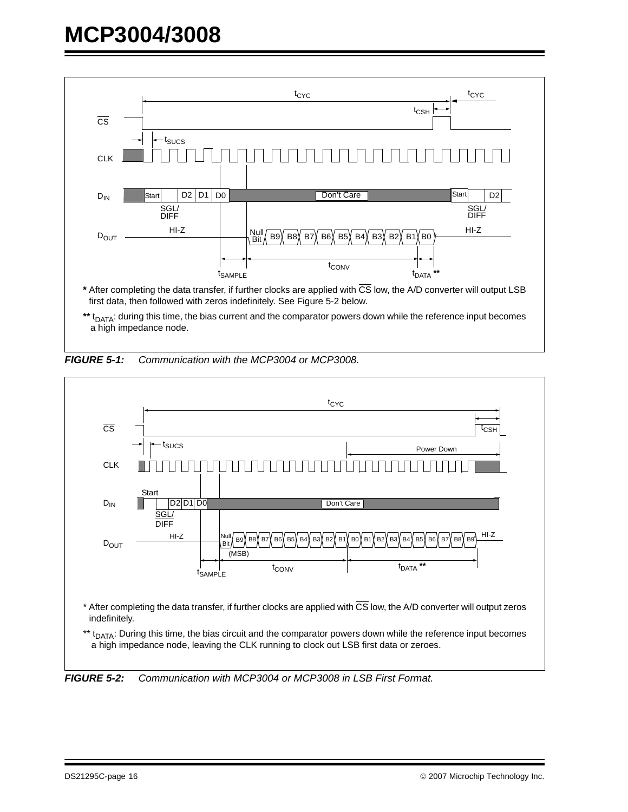

\*\* t<sub>DATA</sub>: during this time, the bias current and the comparator powers down while the reference input becomes a high impedance node.

<span id="page-15-0"></span>*FIGURE 5-1: Communication with the MCP3004 or MCP3008.*



<span id="page-15-1"></span>*FIGURE 5-2: Communication with MCP3004 or MCP3008 in LSB First Format.*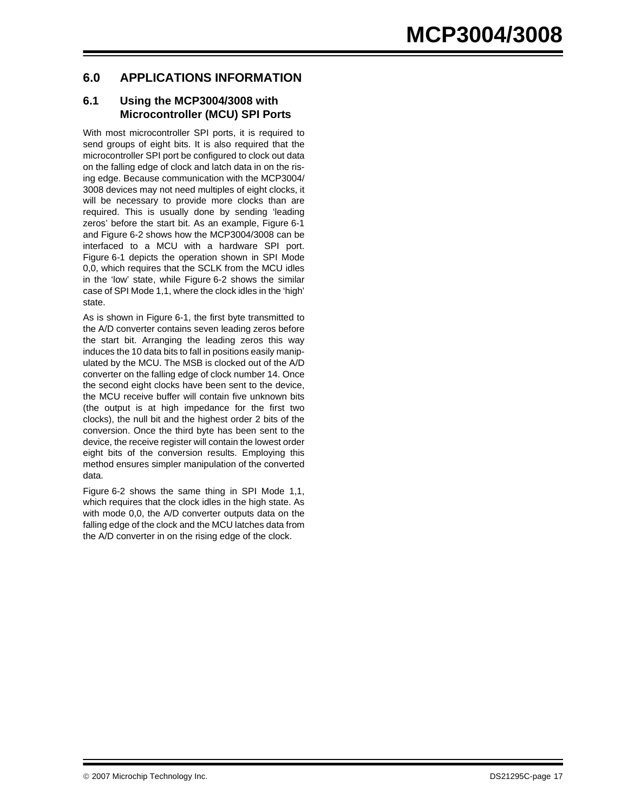### **6.0 APPLICATIONS INFORMATION**

### <span id="page-16-0"></span>**6.1 Using the MCP3004/3008 with Microcontroller (MCU) SPI Ports**

With most microcontroller SPI ports, it is required to send groups of eight bits. It is also required that the microcontroller SPI port be configured to clock out data on the falling edge of clock and latch data in on the rising edge. Because communication with the MCP3004/ 3008 devices may not need multiples of eight clocks, it will be necessary to provide more clocks than are required. This is usually done by sending 'leading zeros' before the start bit. As an example, [Figure 6-1](#page-17-0) and [Figure 6-2](#page-17-1) shows how the MCP3004/3008 can be interfaced to a MCU with a hardware SPI port. [Figure 6-1](#page-17-0) depicts the operation shown in SPI Mode 0,0, which requires that the SCLK from the MCU idles in the 'low' state, while [Figure 6-2](#page-17-1) shows the similar case of SPI Mode 1,1, where the clock idles in the 'high' state.

As is shown in [Figure 6-1,](#page-17-0) the first byte transmitted to the A/D converter contains seven leading zeros before the start bit. Arranging the leading zeros this way induces the 10 data bits to fall in positions easily manipulated by the MCU. The MSB is clocked out of the A/D converter on the falling edge of clock number 14. Once the second eight clocks have been sent to the device, the MCU receive buffer will contain five unknown bits (the output is at high impedance for the first two clocks), the null bit and the highest order 2 bits of the conversion. Once the third byte has been sent to the device, the receive register will contain the lowest order eight bits of the conversion results. Employing this method ensures simpler manipulation of the converted data.

[Figure 6-2](#page-17-1) shows the same thing in SPI Mode 1,1, which requires that the clock idles in the high state. As with mode 0,0, the A/D converter outputs data on the falling edge of the clock and the MCU latches data from the A/D converter in on the rising edge of the clock.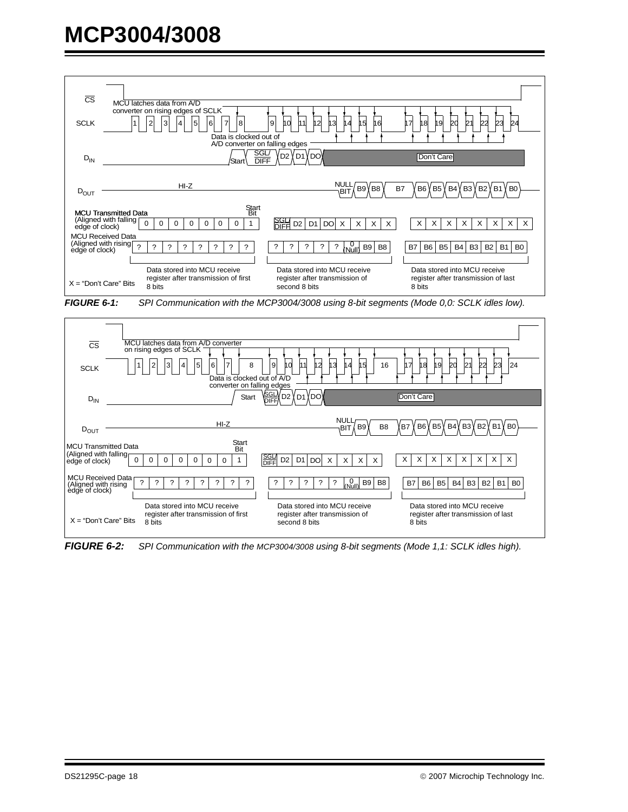

<span id="page-17-0"></span>*FIGURE 6-1: SPI Communication with the MCP3004/3008 using 8-bit segments (Mode 0,0: SCLK idles low).*



<span id="page-17-1"></span>*FIGURE 6-2: SPI Communication with the MCP3004/3008 using 8-bit segments (Mode 1,1: SCLK idles high).*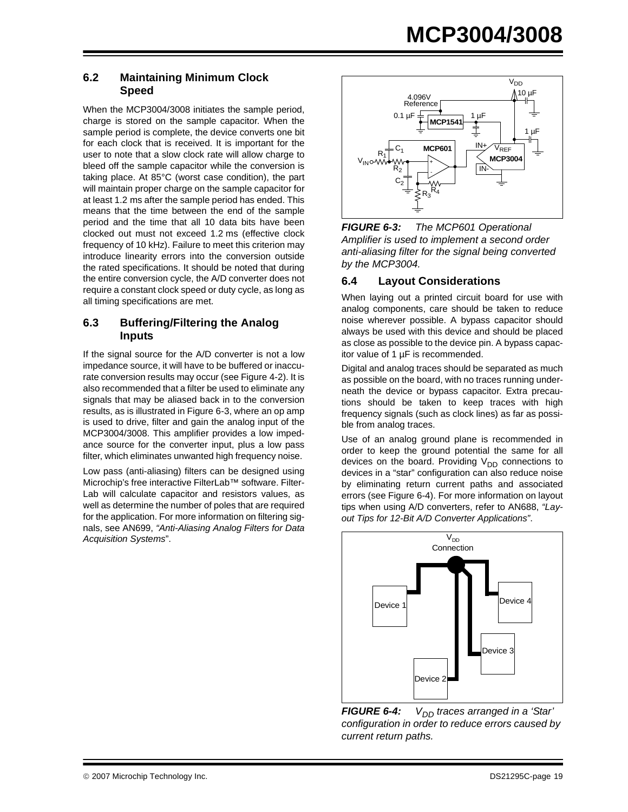### <span id="page-18-0"></span>**6.2 Maintaining Minimum Clock Speed**

When the MCP3004/3008 initiates the sample period, charge is stored on the sample capacitor. When the sample period is complete, the device converts one bit for each clock that is received. It is important for the user to note that a slow clock rate will allow charge to bleed off the sample capacitor while the conversion is taking place. At 85°C (worst case condition), the part will maintain proper charge on the sample capacitor for at least 1.2 ms after the sample period has ended. This means that the time between the end of the sample period and the time that all 10 data bits have been clocked out must not exceed 1.2 ms (effective clock frequency of 10 kHz). Failure to meet this criterion may introduce linearity errors into the conversion outside the rated specifications. It should be noted that during the entire conversion cycle, the A/D converter does not require a constant clock speed or duty cycle, as long as all timing specifications are met.

### **6.3 Buffering/Filtering the Analog Inputs**

If the signal source for the A/D converter is not a low impedance source, it will have to be buffered or inaccurate conversion results may occur (see [Figure 4-2\)](#page-13-1). It is also recommended that a filter be used to eliminate any signals that may be aliased back in to the conversion results, as is illustrated in [Figure 6-3,](#page-18-1) where an op amp is used to drive, filter and gain the analog input of the MCP3004/3008. This amplifier provides a low impedance source for the converter input, plus a low pass filter, which eliminates unwanted high frequency noise.

Low pass (anti-aliasing) filters can be designed using Microchip's free interactive FilterLab™ software. Filter-Lab will calculate capacitor and resistors values, as well as determine the number of poles that are required for the application. For more information on filtering signals, see AN699, *"Anti-Aliasing Analog Filters for Data Acquisition Systems*".



<span id="page-18-1"></span>*FIGURE 6-3: The MCP601 Operational Amplifier is used to implement a second order anti-aliasing filter for the signal being converted by the MCP3004.*

### **6.4 Layout Considerations**

When laying out a printed circuit board for use with analog components, care should be taken to reduce noise wherever possible. A bypass capacitor should always be used with this device and should be placed as close as possible to the device pin. A bypass capacitor value of 1 µF is recommended.

Digital and analog traces should be separated as much as possible on the board, with no traces running underneath the device or bypass capacitor. Extra precautions should be taken to keep traces with high frequency signals (such as clock lines) as far as possible from analog traces.

Use of an analog ground plane is recommended in order to keep the ground potential the same for all devices on the board. Providing  $V_{DD}$  connections to devices in a "star" configuration can also reduce noise by eliminating return current paths and associated errors (see [Figure 6-4\)](#page-18-2). For more information on layout tips when using A/D converters, refer to AN688, *"Layout Tips for 12-Bit A/D Converter Applications"*.



<span id="page-18-2"></span>**FIGURE 6-4:** *V<sub>DD</sub>* traces arranged in a 'Star' *configuration in order to reduce errors caused by current return paths.*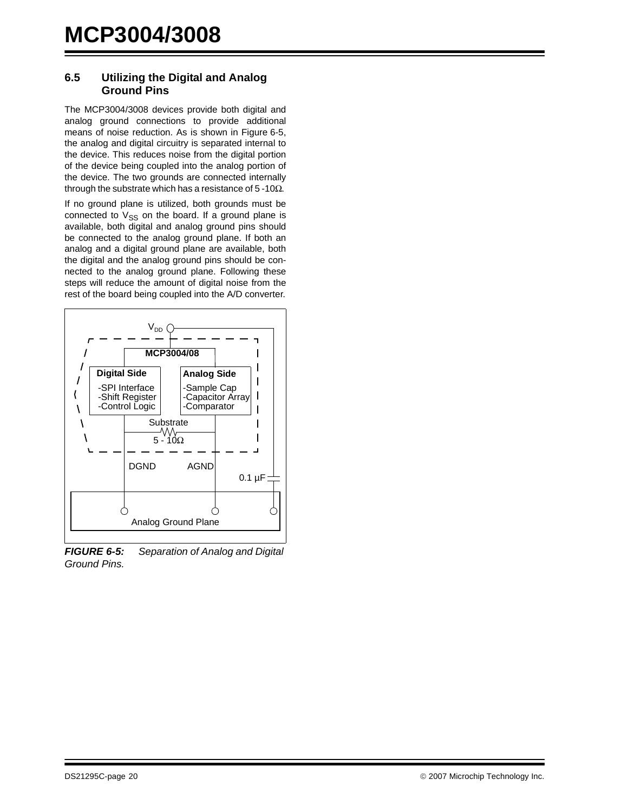### **6.5 Utilizing the Digital and Analog Ground Pins**

The MCP3004/3008 devices provide both digital and analog ground connections to provide additional means of noise reduction. As is shown in [Figure 6-5,](#page-19-0) the analog and digital circuitry is separated internal to the device. This reduces noise from the digital portion of the device being coupled into the analog portion of the device. The two grounds are connected internally through the substrate which has a resistance of  $5 - 10\Omega$ .

If no ground plane is utilized, both grounds must be connected to  $V_{SS}$  on the board. If a ground plane is available, both digital and analog ground pins should be connected to the analog ground plane. If both an analog and a digital ground plane are available, both the digital and the analog ground pins should be connected to the analog ground plane. Following these steps will reduce the amount of digital noise from the rest of the board being coupled into the A/D converter.



<span id="page-19-0"></span>*FIGURE 6-5: Separation of Analog and Digital Ground Pins.*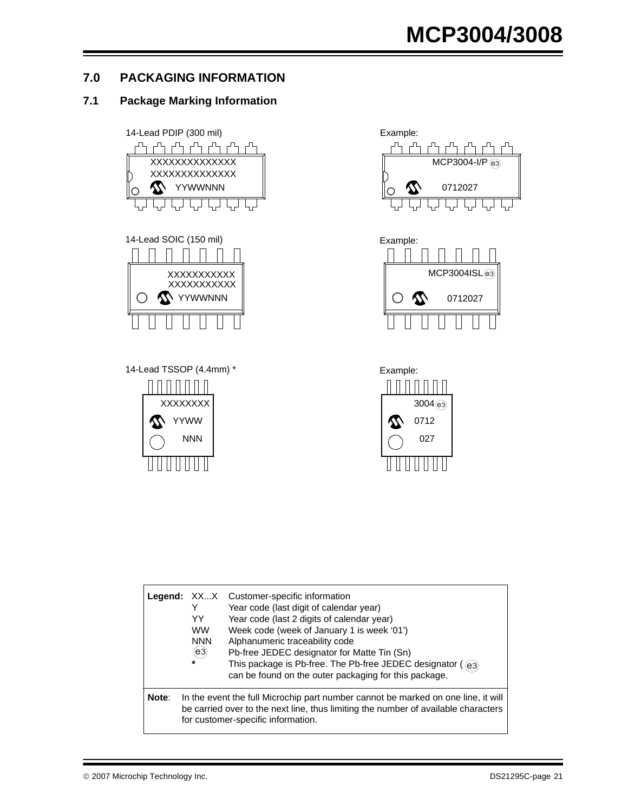### **7.0 PACKAGING INFORMATION**

### **7.1 Package Marking Information**



|       | Legend: XXX<br>YY<br><b>WW</b><br><b>NNN</b><br>(e3)<br>$\star$ | Customer-specific information<br>Year code (last digit of calendar year)<br>Year code (last 2 digits of calendar year)<br>Week code (week of January 1 is week '01')<br>Alphanumeric traceability code<br>Pb-free JEDEC designator for Matte Tin (Sn)<br>This package is Pb-free. The Pb-free JEDEC designator ( $\circledcirc$ )<br>can be found on the outer packaging for this package. |
|-------|-----------------------------------------------------------------|--------------------------------------------------------------------------------------------------------------------------------------------------------------------------------------------------------------------------------------------------------------------------------------------------------------------------------------------------------------------------------------------|
| Note: |                                                                 | In the event the full Microchip part number cannot be marked on one line, it will<br>be carried over to the next line, thus limiting the number of available characters<br>for customer-specific information.                                                                                                                                                                              |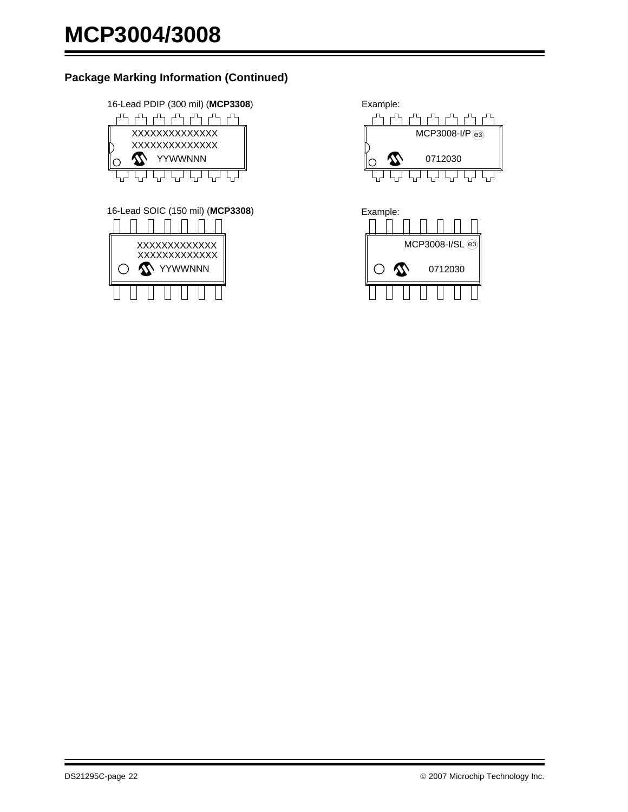### **Package Marking Information (Continued)**









 $r^{n}$ ר'ו ר'ו ᄭ MCP3008-I/P e3 0712030 <del>᠊ᠾ᠘</del>ᡁᠾ  $\Box$ 

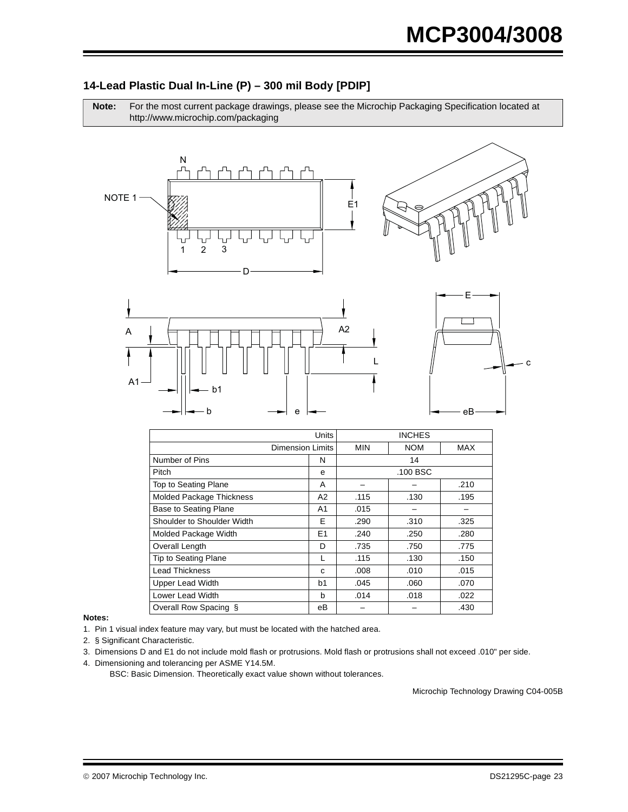### **14-Lead Plastic Dual In-Line (P) – 300 mil Body [PDIP]**

**Note:** For the most current package drawings, please see the Microchip Packaging Specification located at http://www.microchip.com/packaging



|                              | <b>Units</b>   |            | <b>INCHES</b> |            |  |
|------------------------------|----------------|------------|---------------|------------|--|
| <b>Dimension Limits</b>      |                | <b>MIN</b> | <b>NOM</b>    | <b>MAX</b> |  |
| Number of Pins               | N              | 14         |               |            |  |
| Pitch                        | e              | .100 BSC   |               |            |  |
| Top to Seating Plane         | A              |            |               | .210       |  |
| Molded Package Thickness     | A2             | .115       | .130          | .195       |  |
| <b>Base to Seating Plane</b> | A1             | .015       |               |            |  |
| Shoulder to Shoulder Width   | F              | .290       | .310          | .325       |  |
| Molded Package Width         | E <sub>1</sub> | .240       | .250          | .280       |  |
| Overall Length               | D              | .735       | .750          | .775       |  |
| Tip to Seating Plane         | L              | .115       | .130          | .150       |  |
| <b>Lead Thickness</b>        | C              | .008       | .010          | .015       |  |
| <b>Upper Lead Width</b>      | b1             | .045       | .060          | .070       |  |
| Lower Lead Width             | h              | .014       | .018          | .022       |  |
| Overall Row Spacing §        | eВ             |            |               | .430       |  |

#### **Notes:**

1. Pin 1 visual index feature may vary, but must be located with the hatched area.

- 2. § Significant Characteristic.
- 3. Dimensions D and E1 do not include mold flash or protrusions. Mold flash or protrusions shall not exceed .010" per side.
- 4. Dimensioning and tolerancing per ASME Y14.5M.

BSC: Basic Dimension. Theoretically exact value shown without tolerances.

Microchip Technology Drawing C04-005B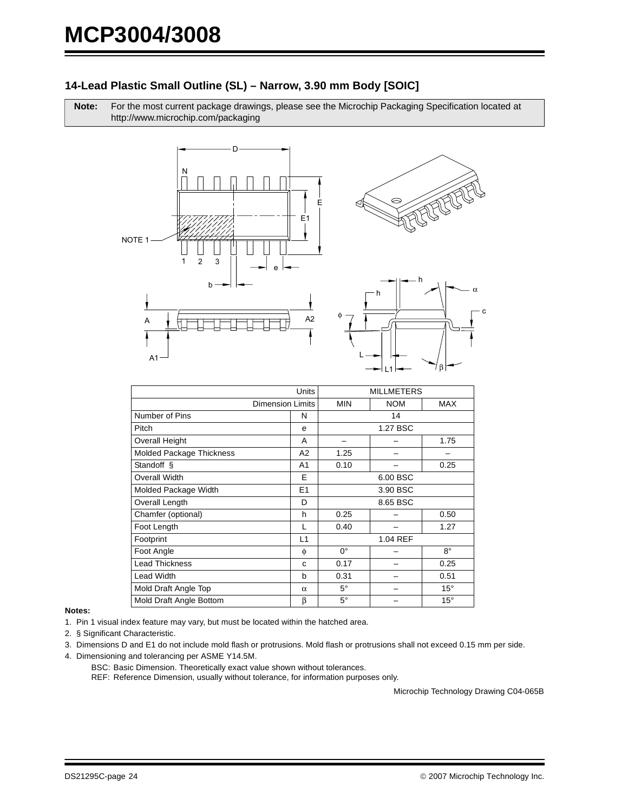### **14-Lead Plastic Small Outline (SL) – Narrow, 3.90 mm Body [SOIC]**

**Note:** For the most current package drawings, please see the Microchip Packaging Specification located at http://www.microchip.com/packaging





c



#### **Notes:**

1. Pin 1 visual index feature may vary, but must be located within the hatched area.

2. § Significant Characteristic.

3. Dimensions D and E1 do not include mold flash or protrusions. Mold flash or protrusions shall not exceed 0.15 mm per side.

Mold Draft Angle Top  $\alpha$  | 5° | – | 15° Mold Draft Angle Bottom β 5° – 15°

- 4. Dimensioning and tolerancing per ASME Y14.5M.
	- BSC: Basic Dimension. Theoretically exact value shown without tolerances.

REF: Reference Dimension, usually without tolerance, for information purposes only.

Microchip Technology Drawing C04-065B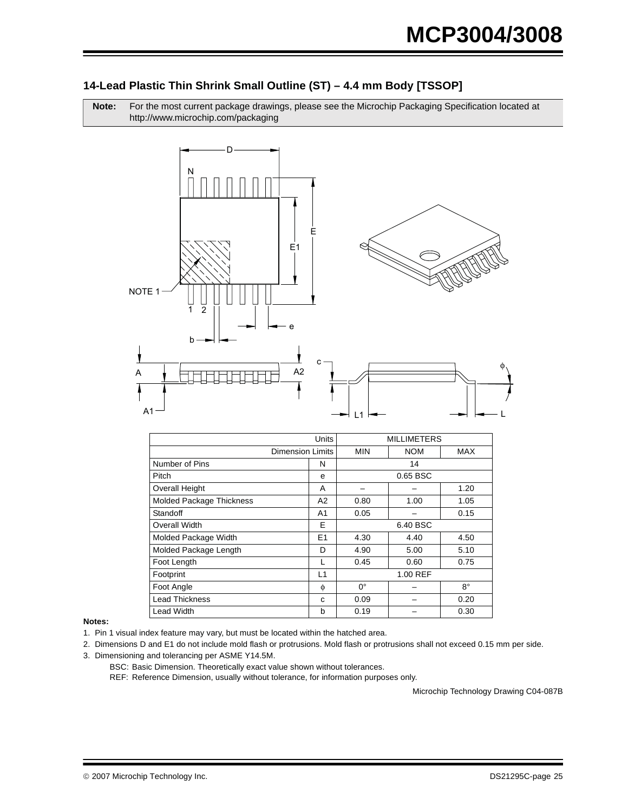### **14-Lead Plastic Thin Shrink Small Outline (ST) – 4.4 mm Body [TSSOP]**

**Note:** For the most current package drawings, please see the Microchip Packaging Specification located at http://www.microchip.com/packaging



|                                 | <b>MILLIMETERS</b> |                   |            |      |  |
|---------------------------------|--------------------|-------------------|------------|------|--|
| <b>Dimension Limits</b>         | <b>MIN</b>         | <b>NOM</b>        | <b>MAX</b> |      |  |
| Number of Pins                  |                    | 14                |            |      |  |
| Pitch                           | e                  | 0.65 BSC          |            |      |  |
| <b>Overall Height</b>           | A                  |                   |            | 1.20 |  |
| <b>Molded Package Thickness</b> | A2                 | 0.80              | 1.00       | 1.05 |  |
| Standoff                        | A <sub>1</sub>     | 0.05              |            | 0.15 |  |
| Overall Width                   | E                  | 6.40 BSC          |            |      |  |
| Molded Package Width            | E1                 | 4.30              | 4.40       | 4.50 |  |
| Molded Package Length           | D                  | 4.90              | 5.00       | 5.10 |  |
| Foot Length                     |                    | 0.45              | 0.60       | 0.75 |  |
| Footprint                       | L1                 | 1.00 REF          |            |      |  |
| Foot Angle                      | Φ                  | $0^{\circ}$<br>8° |            |      |  |
| <b>Lead Thickness</b>           | C                  | 0.09              |            | 0.20 |  |
| <b>Lead Width</b>               | b                  | 0.19              |            | 0.30 |  |

**Notes:**

1. Pin 1 visual index feature may vary, but must be located within the hatched area.

2. Dimensions D and E1 do not include mold flash or protrusions. Mold flash or protrusions shall not exceed 0.15 mm per side.

- 3. Dimensioning and tolerancing per ASME Y14.5M.
	- BSC: Basic Dimension. Theoretically exact value shown without tolerances.

REF: Reference Dimension, usually without tolerance, for information purposes only.

Microchip Technology Drawing C04-087B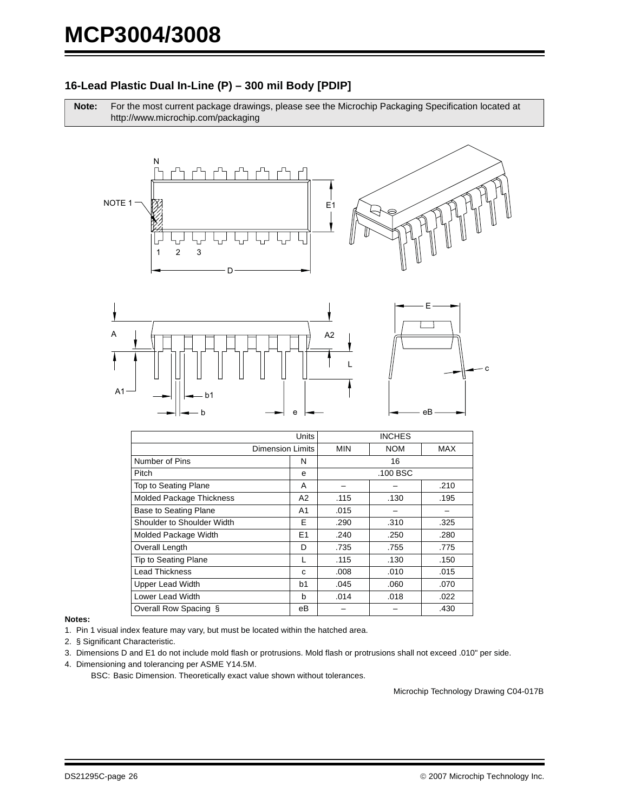### **16-Lead Plastic Dual In-Line (P) – 300 mil Body [PDIP]**

**Note:** For the most current package drawings, please see the Microchip Packaging Specification located at http://www.microchip.com/packaging







|                                 | Units            |          | <b>INCHES</b> |            |  |  |
|---------------------------------|------------------|----------|---------------|------------|--|--|
|                                 | Dimension Limits |          | <b>NOM</b>    | <b>MAX</b> |  |  |
| Number of Pins                  | N                | 16       |               |            |  |  |
| Pitch                           | e                | .100 BSC |               |            |  |  |
| Top to Seating Plane            | A                |          | .210          |            |  |  |
| <b>Molded Package Thickness</b> | A2               | .115     | .130          | .195       |  |  |
| <b>Base to Seating Plane</b>    | A1               | .015     |               |            |  |  |
| Shoulder to Shoulder Width      | E                | .290     | .310          | .325       |  |  |
| Molded Package Width            | E <sub>1</sub>   | .240     | .250          | .280       |  |  |
| Overall Length                  | D                | .735     | .755          | .775       |  |  |
| Tip to Seating Plane            |                  | .115     | .130          | .150       |  |  |
| <b>Lead Thickness</b>           | C                | .008     | .010          | .015       |  |  |
| <b>Upper Lead Width</b>         | b1               | .045     | .060          | .070       |  |  |
| Lower Lead Width                | b                | .014     | .018          | .022       |  |  |
| Overall Row Spacing §           | eВ               |          |               | .430       |  |  |

#### **Notes:**

1. Pin 1 visual index feature may vary, but must be located within the hatched area.

2. § Significant Characteristic.

3. Dimensions D and E1 do not include mold flash or protrusions. Mold flash or protrusions shall not exceed .010" per side.

4. Dimensioning and tolerancing per ASME Y14.5M.

BSC: Basic Dimension. Theoretically exact value shown without tolerances.

Microchip Technology Drawing C04-017B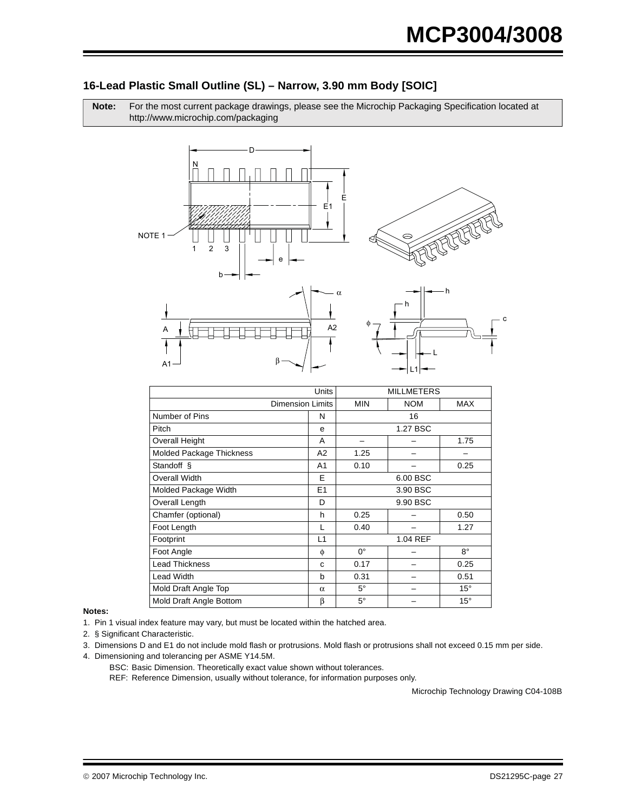### **16-Lead Plastic Small Outline (SL) – Narrow, 3.90 mm Body [SOIC]**

**Note:** For the most current package drawings, please see the Microchip Packaging Specification located at http://www.microchip.com/packaging



|                                 | <b>Units</b>            |             | <b>MILLMETERS</b> |              |  |  |
|---------------------------------|-------------------------|-------------|-------------------|--------------|--|--|
|                                 | <b>Dimension Limits</b> | <b>MIN</b>  | <b>NOM</b>        | <b>MAX</b>   |  |  |
| Number of Pins                  | N                       | 16          |                   |              |  |  |
| Pitch                           | e                       | 1.27 BSC    |                   |              |  |  |
| Overall Height                  | A                       | 1.75<br>-   |                   |              |  |  |
| <b>Molded Package Thickness</b> | A2                      | 1.25        |                   |              |  |  |
| Standoff §                      | A <sub>1</sub>          | 0.10        |                   | 0.25         |  |  |
| <b>Overall Width</b>            | F                       | 6.00 BSC    |                   |              |  |  |
| Molded Package Width            | E <sub>1</sub>          | 3.90 BSC    |                   |              |  |  |
| Overall Length                  | D                       | 9.90 BSC    |                   |              |  |  |
| Chamfer (optional)              | h                       | 0.25        |                   | 0.50         |  |  |
| Foot Length                     |                         | 0.40        |                   | 1.27         |  |  |
| Footprint                       | L1                      | 1.04 REF    |                   |              |  |  |
| Foot Angle                      | φ                       | $0^{\circ}$ |                   | $8^{\circ}$  |  |  |
| <b>Lead Thickness</b>           | C                       | 0.17        |                   | 0.25         |  |  |
| <b>Lead Width</b>               | b                       | 0.31        |                   | 0.51         |  |  |
| Mold Draft Angle Top            | $\alpha$                | $5^{\circ}$ |                   | $15^\circ$   |  |  |
| Mold Draft Angle Bottom         | β                       | $5^{\circ}$ |                   | $15^{\circ}$ |  |  |

**Notes:**

1. Pin 1 visual index feature may vary, but must be located within the hatched area.

2. § Significant Characteristic.

3. Dimensions D and E1 do not include mold flash or protrusions. Mold flash or protrusions shall not exceed 0.15 mm per side.

- 4. Dimensioning and tolerancing per ASME Y14.5M.
	- BSC: Basic Dimension. Theoretically exact value shown without tolerances.

REF: Reference Dimension, usually without tolerance, for information purposes only.

Microchip Technology Drawing C04-108B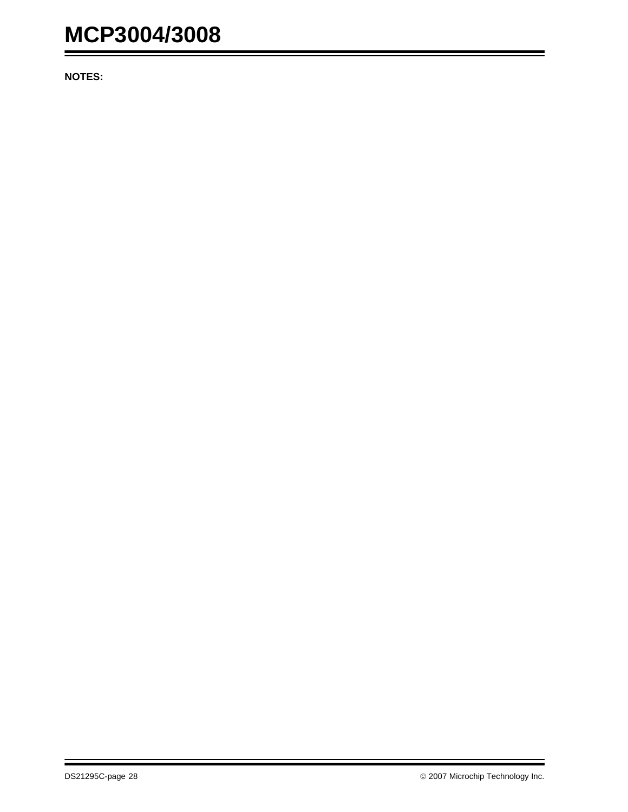**NOTES:**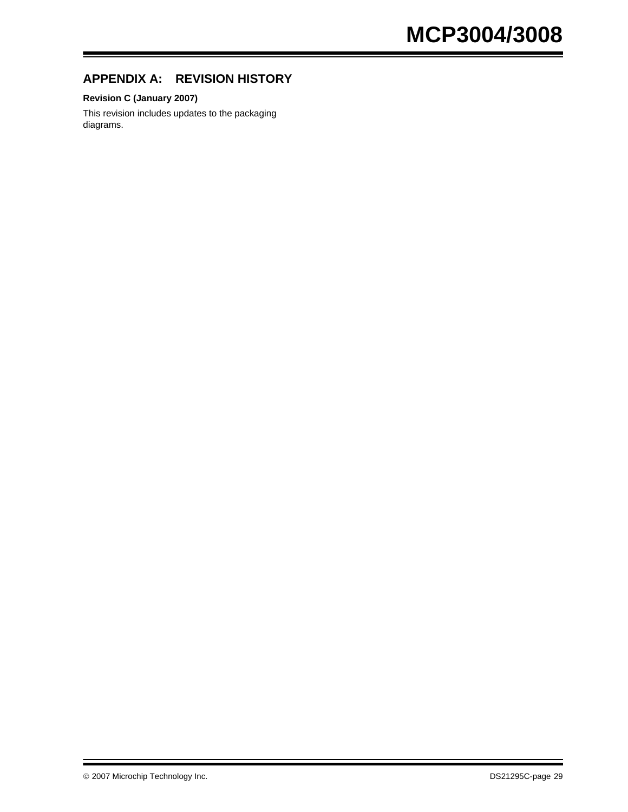### **APPENDIX A: REVISION HISTORY**

### **Revision C (January 2007)**

This revision includes updates to the packaging diagrams.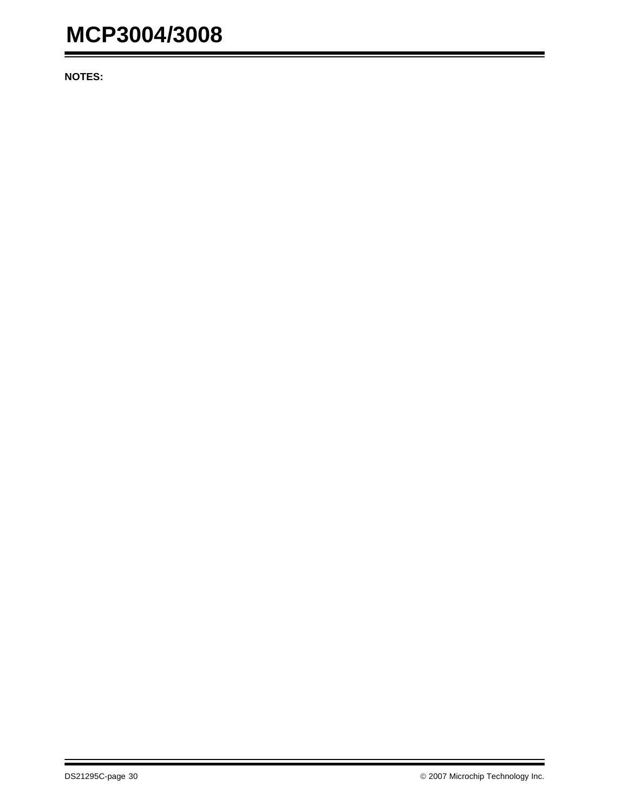**NOTES:**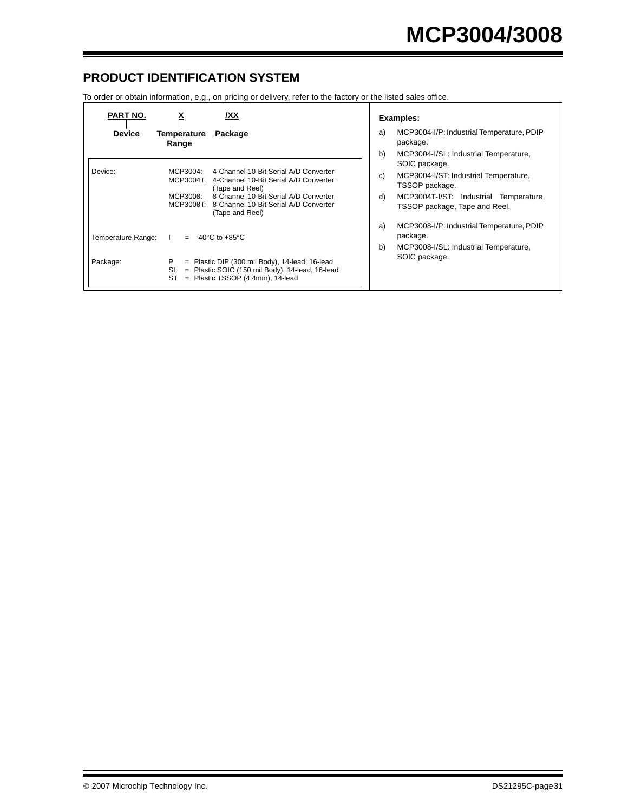### **PRODUCT IDENTIFICATION SYSTEM**

To order or obtain information, e.g., on pricing or delivery, refer to the factory or the listed sales office.

| PART NO.           | 츠                    | /XX                                                                                                                                         |  |    | Examples:                                                               |
|--------------------|----------------------|---------------------------------------------------------------------------------------------------------------------------------------------|--|----|-------------------------------------------------------------------------|
| <b>Device</b>      | Temperature<br>Range | Package                                                                                                                                     |  | a) | MCP3004-I/P: Industrial Temperature, PDIP<br>package.                   |
|                    |                      |                                                                                                                                             |  | b) | MCP3004-I/SL: Industrial Temperature,<br>SOIC package.                  |
| Device:            | MCP3004:             | 4-Channel 10-Bit Serial A/D Converter<br>MCP3004T: 4-Channel 10-Bit Serial A/D Converter<br>(Tape and Reel)                                 |  | C) | MCP3004-I/ST: Industrial Temperature,<br>TSSOP package.                 |
|                    | MCP3008:             | 8-Channel 10-Bit Serial A/D Converter<br>MCP3008T: 8-Channel 10-Bit Serial A/D Converter<br>(Tape and Reel)                                 |  | d) | MCP3004T-I/ST: Industrial Temperature,<br>TSSOP package, Tape and Reel. |
| Temperature Range: |                      | $= -40^{\circ}$ C to $+85^{\circ}$ C                                                                                                        |  | a) | MCP3008-I/P: Industrial Temperature, PDIP<br>package.                   |
|                    |                      |                                                                                                                                             |  | b) | MCP3008-I/SL: Industrial Temperature,<br>SOIC package.                  |
| Package:           | P.<br>SL<br>ST       | $=$ Plastic DIP (300 mil Body), 14-lead, 16-lead<br>$=$ Plastic SOIC (150 mil Body), 14-lead, 16-lead<br>$=$ Plastic TSSOP (4.4mm), 14-lead |  |    |                                                                         |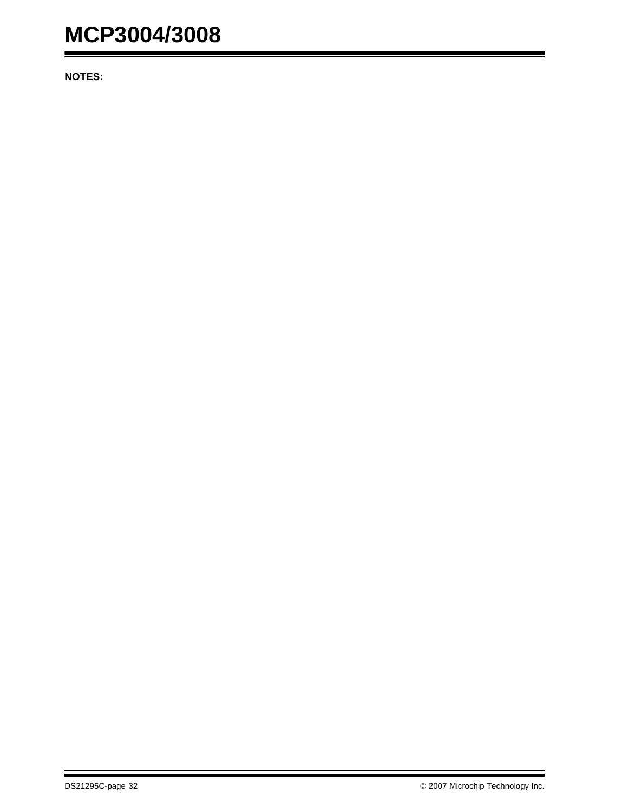**NOTES:**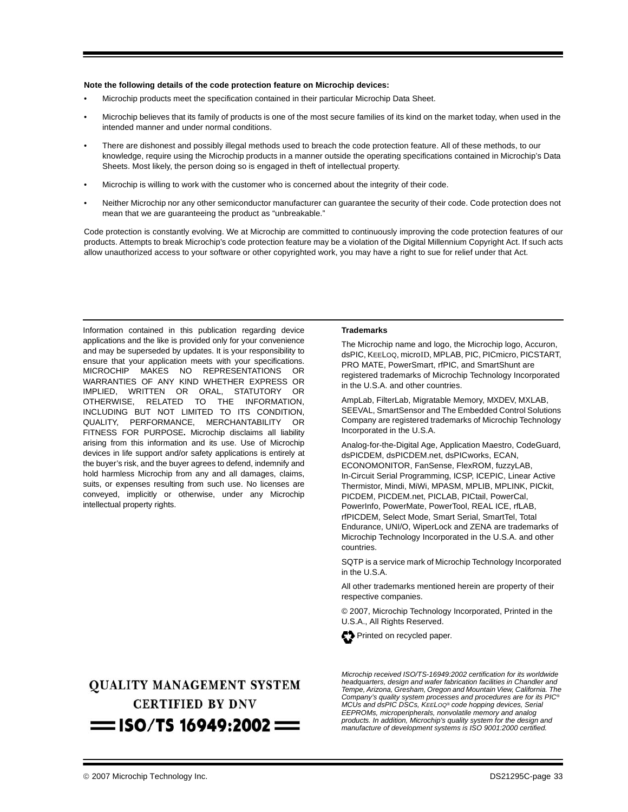#### **Note the following details of the code protection feature on Microchip devices:**

- Microchip products meet the specification contained in their particular Microchip Data Sheet.
- Microchip believes that its family of products is one of the most secure families of its kind on the market today, when used in the intended manner and under normal conditions.
- There are dishonest and possibly illegal methods used to breach the code protection feature. All of these methods, to our knowledge, require using the Microchip products in a manner outside the operating specifications contained in Microchip's Data Sheets. Most likely, the person doing so is engaged in theft of intellectual property.
- Microchip is willing to work with the customer who is concerned about the integrity of their code.
- Neither Microchip nor any other semiconductor manufacturer can guarantee the security of their code. Code protection does not mean that we are guaranteeing the product as "unbreakable."

Code protection is constantly evolving. We at Microchip are committed to continuously improving the code protection features of our products. Attempts to break Microchip's code protection feature may be a violation of the Digital Millennium Copyright Act. If such acts allow unauthorized access to your software or other copyrighted work, you may have a right to sue for relief under that Act.

Information contained in this publication regarding device applications and the like is provided only for your convenience and may be superseded by updates. It is your responsibility to ensure that your application meets with your specifications. MICROCHIP MAKES NO REPRESENTATIONS OR WARRANTIES OF ANY KIND WHETHER EXPRESS OR IMPLIED, WRITTEN OR ORAL, STATUTORY OR OTHERWISE, RELATED TO THE INFORMATION, INCLUDING BUT NOT LIMITED TO ITS CONDITION, QUALITY, PERFORMANCE, MERCHANTABILITY OR FITNESS FOR PURPOSE**.** Microchip disclaims all liability arising from this information and its use. Use of Microchip devices in life support and/or safety applications is entirely at the buyer's risk, and the buyer agrees to defend, indemnify and hold harmless Microchip from any and all damages, claims, suits, or expenses resulting from such use. No licenses are conveyed, implicitly or otherwise, under any Microchip intellectual property rights.

### **OUALITY MANAGEMENT SYSTEM CERTIFIED BY DNV**  $=$  ISO/TS 16949:2002  $=$

#### **Trademarks**

The Microchip name and logo, the Microchip logo, Accuron, dsPIC, KEELOQ, microID, MPLAB, PIC, PICmicro, PICSTART, PRO MATE, PowerSmart, rfPIC, and SmartShunt are registered trademarks of Microchip Technology Incorporated in the U.S.A. and other countries.

AmpLab, FilterLab, Migratable Memory, MXDEV, MXLAB, SEEVAL, SmartSensor and The Embedded Control Solutions Company are registered trademarks of Microchip Technology Incorporated in the U.S.A.

Analog-for-the-Digital Age, Application Maestro, CodeGuard, dsPICDEM, dsPICDEM.net, dsPICworks, ECAN, ECONOMONITOR, FanSense, FlexROM, fuzzyLAB, In-Circuit Serial Programming, ICSP, ICEPIC, Linear Active Thermistor, Mindi, MiWi, MPASM, MPLIB, MPLINK, PICkit, PICDEM, PICDEM.net, PICLAB, PICtail, PowerCal, PowerInfo, PowerMate, PowerTool, REAL ICE, rfLAB, rfPICDEM, Select Mode, Smart Serial, SmartTel, Total Endurance, UNI/O, WiperLock and ZENA are trademarks of Microchip Technology Incorporated in the U.S.A. and other countries.

SQTP is a service mark of Microchip Technology Incorporated in the U.S.A.

All other trademarks mentioned herein are property of their respective companies.

© 2007, Microchip Technology Incorporated, Printed in the U.S.A., All Rights Reserved.



Printed on recycled paper.

*Microchip received ISO/TS-16949:2002 certification for its worldwide headquarters, design and wafer fabrication facilities in Chandler and Tempe, Arizona, Gresham, Oregon and Mountain View, California. The Company's quality system processes and procedures are for its PIC® MCUs and dsPIC DSCs, KEELOQ® code hopping devices, Serial EEPROMs, microperipherals, nonvolatile memory and analog products. In addition, Microchip's quality system for the design and manufacture of development systems is ISO 9001:2000 certified.*